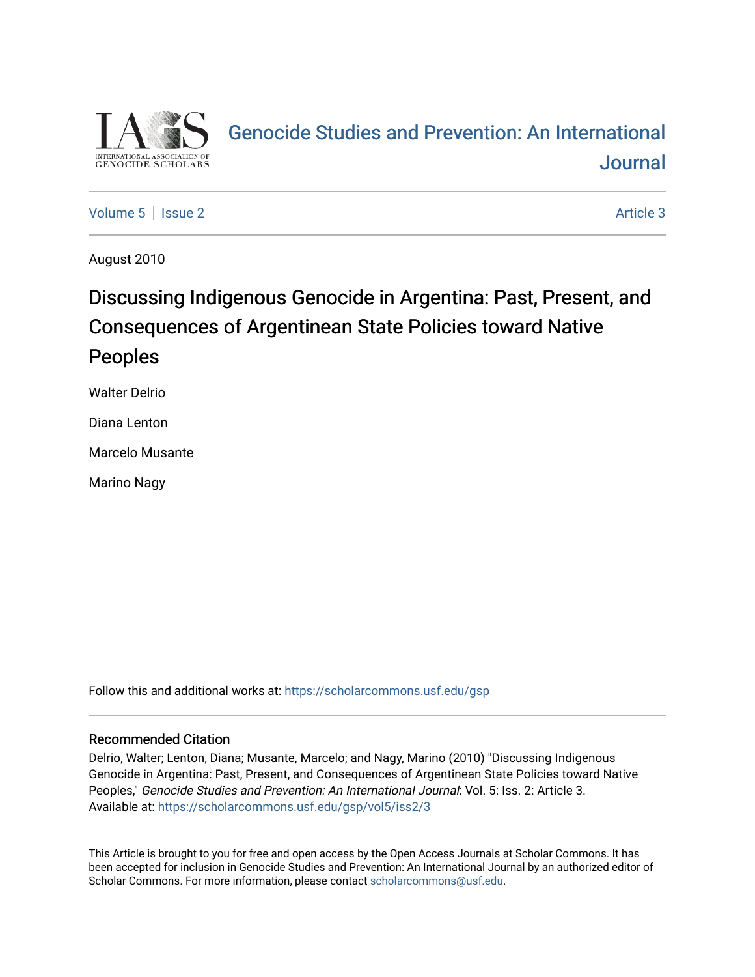

# [Genocide Studies and Prevention: An International](https://scholarcommons.usf.edu/gsp)  **Journal**

[Volume 5](https://scholarcommons.usf.edu/gsp/vol5) | [Issue 2](https://scholarcommons.usf.edu/gsp/vol5/iss2) Article 3

August 2010

# Discussing Indigenous Genocide in Argentina: Past, Present, and Consequences of Argentinean State Policies toward Native Peoples

Walter Delrio

Diana Lenton

Marcelo Musante

Marino Nagy

Follow this and additional works at: [https://scholarcommons.usf.edu/gsp](https://scholarcommons.usf.edu/gsp?utm_source=scholarcommons.usf.edu%2Fgsp%2Fvol5%2Fiss2%2F3&utm_medium=PDF&utm_campaign=PDFCoverPages)

#### Recommended Citation

Delrio, Walter; Lenton, Diana; Musante, Marcelo; and Nagy, Marino (2010) "Discussing Indigenous Genocide in Argentina: Past, Present, and Consequences of Argentinean State Policies toward Native Peoples," Genocide Studies and Prevention: An International Journal: Vol. 5: Iss. 2: Article 3. Available at: [https://scholarcommons.usf.edu/gsp/vol5/iss2/3](https://scholarcommons.usf.edu/gsp/vol5/iss2/3?utm_source=scholarcommons.usf.edu%2Fgsp%2Fvol5%2Fiss2%2F3&utm_medium=PDF&utm_campaign=PDFCoverPages)

This Article is brought to you for free and open access by the Open Access Journals at Scholar Commons. It has been accepted for inclusion in Genocide Studies and Prevention: An International Journal by an authorized editor of Scholar Commons. For more information, please contact [scholarcommons@usf.edu](mailto:scholarcommons@usf.edu).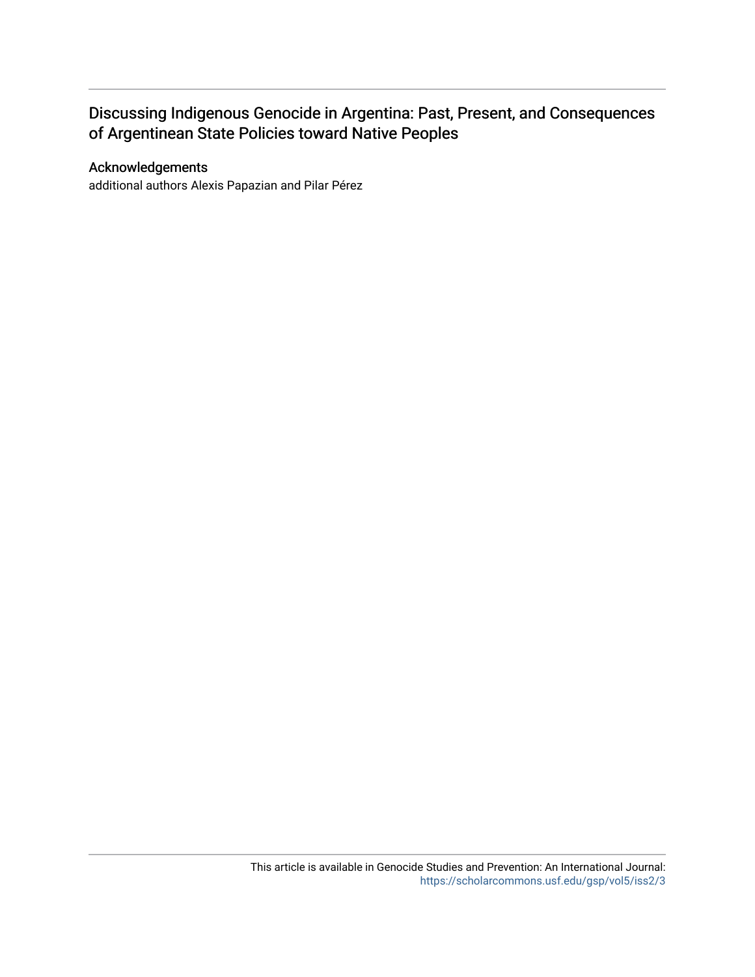# Discussing Indigenous Genocide in Argentina: Past, Present, and Consequences of Argentinean State Policies toward Native Peoples

## Acknowledgements

additional authors Alexis Papazian and Pilar Pérez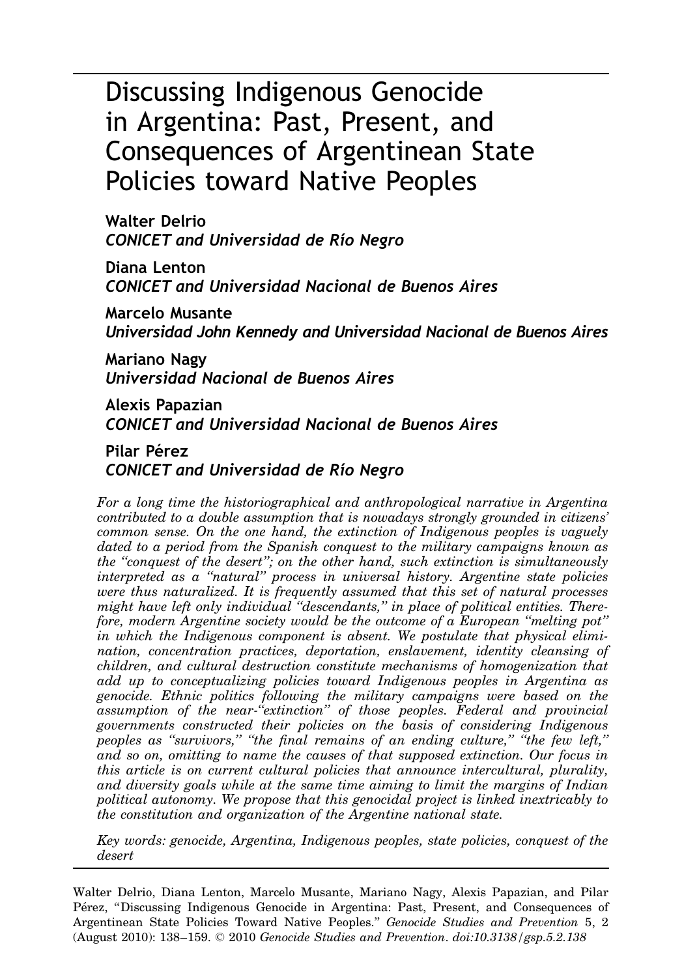# Discussing Indigenous Genocide in Argentina: Past, Present, and Consequences of Argentinean State Policies toward Native Peoples

Walter Delrio CONICET and Universidad de Río Negro

Diana Lenton CONICET and Universidad Nacional de Buenos Aires

Marcelo Musante Universidad John Kennedy and Universidad Nacional de Buenos Aires

Mariano Nagy Universidad Nacional de Buenos Aires

Alexis Papazian CONICET and Universidad Nacional de Buenos Aires

## Pilar Pérez CONICET and Universidad de Rı´o Negro

For a long time the historiographical and anthropological narrative in Argentina contributed to a double assumption that is nowadays strongly grounded in citizens' common sense. On the one hand, the extinction of Indigenous peoples is vaguely dated to a period from the Spanish conquest to the military campaigns known as the ''conquest of the desert''; on the other hand, such extinction is simultaneously interpreted as a ''natural'' process in universal history. Argentine state policies were thus naturalized. It is frequently assumed that this set of natural processes might have left only individual "descendants," in place of political entities. Therefore, modern Argentine society would be the outcome of a European ''melting pot'' in which the Indigenous component is absent. We postulate that physical elimination, concentration practices, deportation, enslavement, identity cleansing of children, and cultural destruction constitute mechanisms of homogenization that add up to conceptualizing policies toward Indigenous peoples in Argentina as genocide. Ethnic politics following the military campaigns were based on the assumption of the near-''extinction'' of those peoples. Federal and provincial governments constructed their policies on the basis of considering Indigenous peoples as ''survivors,'' ''the final remains of an ending culture,'' ''the few left,'' and so on, omitting to name the causes of that supposed extinction. Our focus in this article is on current cultural policies that announce intercultural, plurality, and diversity goals while at the same time aiming to limit the margins of Indian political autonomy. We propose that this genocidal project is linked inextricably to the constitution and organization of the Argentine national state.

Key words: genocide, Argentina, Indigenous peoples, state policies, conquest of the desert

Walter Delrio, Diana Lenton, Marcelo Musante, Mariano Nagy, Alexis Papazian, and Pilar Pérez, "Discussing Indigenous Genocide in Argentina: Past, Present, and Consequences of Argentinean State Policies Toward Native Peoples." Genocide Studies and Prevention 5, 2 (August 2010): 138–159. 6 2010 Genocide Studies and Prevention. doi:10.3138/gsp.5.2.138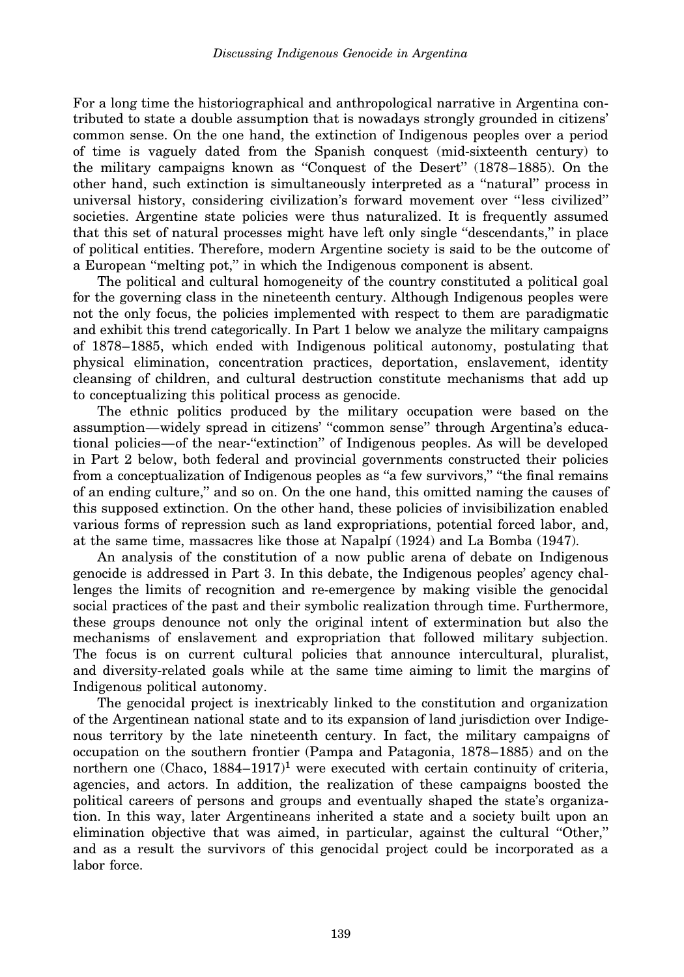For a long time the historiographical and anthropological narrative in Argentina contributed to state a double assumption that is nowadays strongly grounded in citizens' common sense. On the one hand, the extinction of Indigenous peoples over a period of time is vaguely dated from the Spanish conquest (mid-sixteenth century) to the military campaigns known as ''Conquest of the Desert'' (1878–1885). On the other hand, such extinction is simultaneously interpreted as a ''natural'' process in universal history, considering civilization's forward movement over '' less civilized'' societies. Argentine state policies were thus naturalized. It is frequently assumed that this set of natural processes might have left only single ''descendants,'' in place of political entities. Therefore, modern Argentine society is said to be the outcome of a European ''melting pot,'' in which the Indigenous component is absent.

The political and cultural homogeneity of the country constituted a political goal for the governing class in the nineteenth century. Although Indigenous peoples were not the only focus, the policies implemented with respect to them are paradigmatic and exhibit this trend categorically. In Part 1 below we analyze the military campaigns of 1878–1885, which ended with Indigenous political autonomy, postulating that physical elimination, concentration practices, deportation, enslavement, identity cleansing of children, and cultural destruction constitute mechanisms that add up to conceptualizing this political process as genocide.

The ethnic politics produced by the military occupation were based on the assumption—widely spread in citizens' ''common sense'' through Argentina's educational policies—of the near-''extinction'' of Indigenous peoples. As will be developed in Part 2 below, both federal and provincial governments constructed their policies from a conceptualization of Indigenous peoples as "a few survivors," "the final remains of an ending culture,'' and so on. On the one hand, this omitted naming the causes of this supposed extinction. On the other hand, these policies of invisibilization enabled various forms of repression such as land expropriations, potential forced labor, and, at the same time, massacres like those at Napalpı´ (1924) and La Bomba (1947).

An analysis of the constitution of a now public arena of debate on Indigenous genocide is addressed in Part 3. In this debate, the Indigenous peoples' agency challenges the limits of recognition and re-emergence by making visible the genocidal social practices of the past and their symbolic realization through time. Furthermore, these groups denounce not only the original intent of extermination but also the mechanisms of enslavement and expropriation that followed military subjection. The focus is on current cultural policies that announce intercultural, pluralist, and diversity-related goals while at the same time aiming to limit the margins of Indigenous political autonomy.

The genocidal project is inextricably linked to the constitution and organization of the Argentinean national state and to its expansion of land jurisdiction over Indigenous territory by the late nineteenth century. In fact, the military campaigns of occupation on the southern frontier (Pampa and Patagonia, 1878–1885) and on the northern one (Chaco,  $1884-1917$ )<sup>1</sup> were executed with certain continuity of criteria, agencies, and actors. In addition, the realization of these campaigns boosted the political careers of persons and groups and eventually shaped the state's organization. In this way, later Argentineans inherited a state and a society built upon an elimination objective that was aimed, in particular, against the cultural ''Other,'' and as a result the survivors of this genocidal project could be incorporated as a labor force.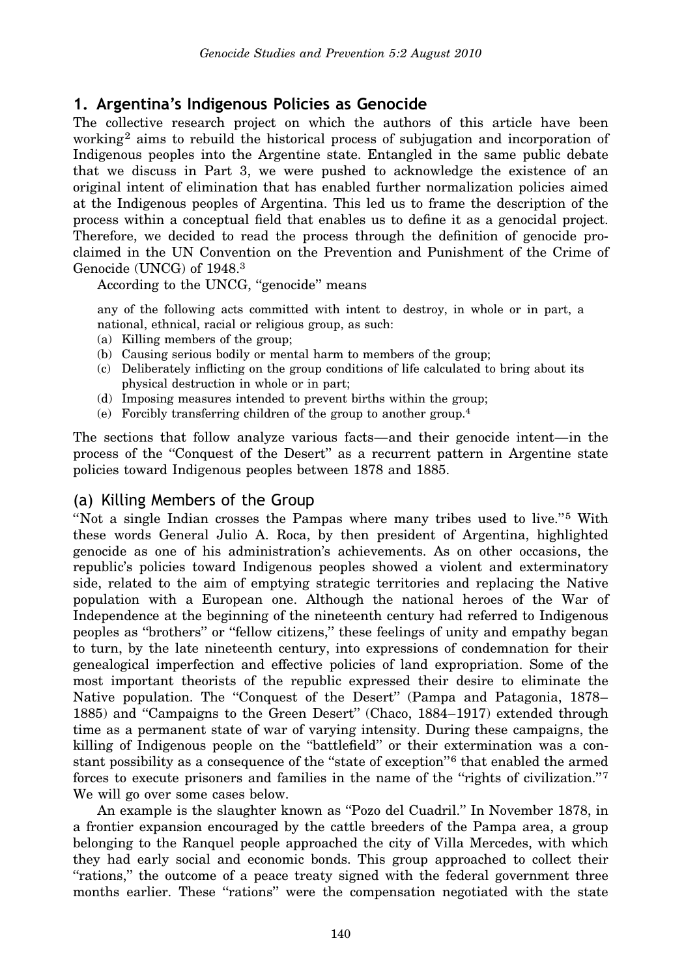## 1. Argentina's Indigenous Policies as Genocide

The collective research project on which the authors of this article have been working<sup>2</sup> aims to rebuild the historical process of subjugation and incorporation of Indigenous peoples into the Argentine state. Entangled in the same public debate that we discuss in Part 3, we were pushed to acknowledge the existence of an original intent of elimination that has enabled further normalization policies aimed at the Indigenous peoples of Argentina. This led us to frame the description of the process within a conceptual field that enables us to define it as a genocidal project. Therefore, we decided to read the process through the definition of genocide proclaimed in the UN Convention on the Prevention and Punishment of the Crime of Genocide (UNCG) of 1948.<sup>3</sup>

According to the UNCG, ''genocide'' means

any of the following acts committed with intent to destroy, in whole or in part, a national, ethnical, racial or religious group, as such:

- (a) Killing members of the group;
- (b) Causing serious bodily or mental harm to members of the group;
- (c) Deliberately inflicting on the group conditions of life calculated to bring about its physical destruction in whole or in part;
- (d) Imposing measures intended to prevent births within the group;
- (e) Forcibly transferring children of the group to another group.4

The sections that follow analyze various facts—and their genocide intent—in the process of the ''Conquest of the Desert'' as a recurrent pattern in Argentine state policies toward Indigenous peoples between 1878 and 1885.

### (a) Killing Members of the Group

''Not a single Indian crosses the Pampas where many tribes used to live.''<sup>5</sup> With these words General Julio A. Roca, by then president of Argentina, highlighted genocide as one of his administration's achievements. As on other occasions, the republic's policies toward Indigenous peoples showed a violent and exterminatory side, related to the aim of emptying strategic territories and replacing the Native population with a European one. Although the national heroes of the War of Independence at the beginning of the nineteenth century had referred to Indigenous peoples as ''brothers'' or ''fellow citizens,'' these feelings of unity and empathy began to turn, by the late nineteenth century, into expressions of condemnation for their genealogical imperfection and effective policies of land expropriation. Some of the most important theorists of the republic expressed their desire to eliminate the Native population. The ''Conquest of the Desert'' (Pampa and Patagonia, 1878– 1885) and ''Campaigns to the Green Desert'' (Chaco, 1884–1917) extended through time as a permanent state of war of varying intensity. During these campaigns, the killing of Indigenous people on the ''battlefield'' or their extermination was a constant possibility as a consequence of the ''state of exception''<sup>6</sup> that enabled the armed forces to execute prisoners and families in the name of the "rights of civilization."7 We will go over some cases below.

An example is the slaughter known as ''Pozo del Cuadril.'' In November 1878, in a frontier expansion encouraged by the cattle breeders of the Pampa area, a group belonging to the Ranquel people approached the city of Villa Mercedes, with which they had early social and economic bonds. This group approached to collect their ''rations,'' the outcome of a peace treaty signed with the federal government three months earlier. These ''rations'' were the compensation negotiated with the state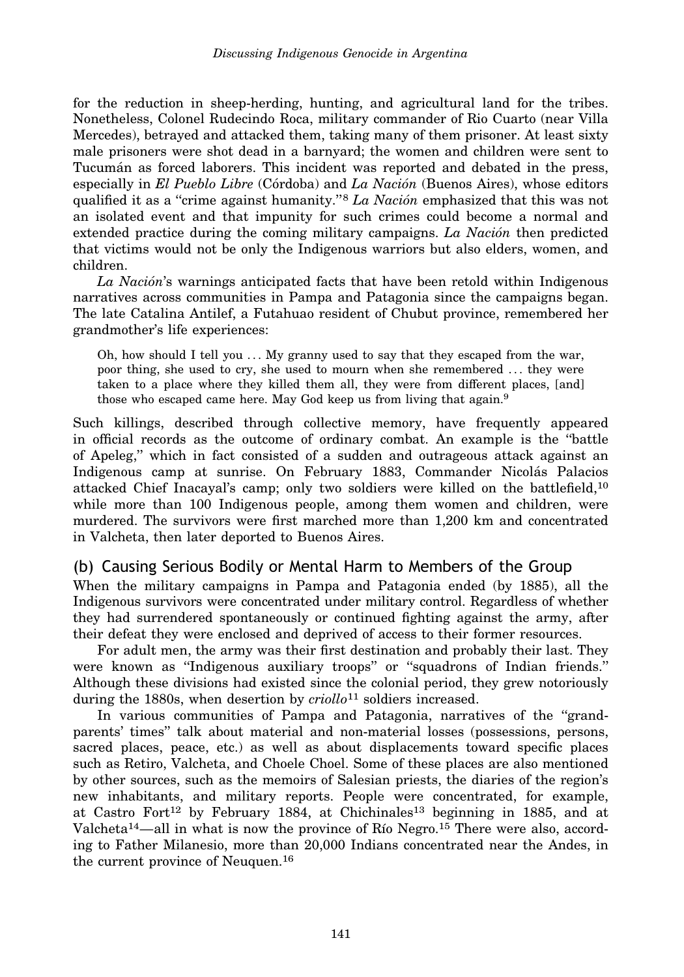for the reduction in sheep-herding, hunting, and agricultural land for the tribes. Nonetheless, Colonel Rudecindo Roca, military commander of Rio Cuarto (near Villa Mercedes), betrayed and attacked them, taking many of them prisoner. At least sixty male prisoners were shot dead in a barnyard; the women and children were sent to Tucuman as forced laborers. This incident was reported and debated in the press, especially in El Pueblo Libre (Córdoba) and La Nación (Buenos Aires), whose editors qualified it as a "crime against humanity."<sup>8</sup> La Nación emphasized that this was not an isolated event and that impunity for such crimes could become a normal and extended practice during the coming military campaigns. La Nación then predicted that victims would not be only the Indigenous warriors but also elders, women, and children.

La Nación's warnings anticipated facts that have been retold within Indigenous narratives across communities in Pampa and Patagonia since the campaigns began. The late Catalina Antilef, a Futahuao resident of Chubut province, remembered her grandmother's life experiences:

Oh, how should I tell you  $\dots$  My granny used to say that they escaped from the war, poor thing, she used to cry, she used to mourn when she remembered . . . they were taken to a place where they killed them all, they were from different places, [and] those who escaped came here. May God keep us from living that again.<sup>9</sup>

Such killings, described through collective memory, have frequently appeared in official records as the outcome of ordinary combat. An example is the ''battle of Apeleg,'' which in fact consisted of a sudden and outrageous attack against an Indigenous camp at sunrise. On February 1883, Commander Nicolás Palacios attacked Chief Inacayal's camp; only two soldiers were killed on the battlefield,  $10$ while more than 100 Indigenous people, among them women and children, were murdered. The survivors were first marched more than 1,200 km and concentrated in Valcheta, then later deported to Buenos Aires.

#### (b) Causing Serious Bodily or Mental Harm to Members of the Group

When the military campaigns in Pampa and Patagonia ended (by 1885), all the Indigenous survivors were concentrated under military control. Regardless of whether they had surrendered spontaneously or continued fighting against the army, after their defeat they were enclosed and deprived of access to their former resources.

For adult men, the army was their first destination and probably their last. They were known as ''Indigenous auxiliary troops'' or ''squadrons of Indian friends.'' Although these divisions had existed since the colonial period, they grew notoriously during the  $1880s$ , when desertion by  $criollo<sup>11</sup>$  soldiers increased.

In various communities of Pampa and Patagonia, narratives of the ''grandparents' times'' talk about material and non-material losses (possessions, persons, sacred places, peace, etc.) as well as about displacements toward specific places such as Retiro, Valcheta, and Choele Choel. Some of these places are also mentioned by other sources, such as the memoirs of Salesian priests, the diaries of the region's new inhabitants, and military reports. People were concentrated, for example, at Castro Fort<sup>12</sup> by February 1884, at Chichinales<sup>13</sup> beginning in 1885, and at Valcheta<sup>14</sup>—all in what is now the province of Río Negro.<sup>15</sup> There were also, according to Father Milanesio, more than 20,000 Indians concentrated near the Andes, in the current province of Neuquen.16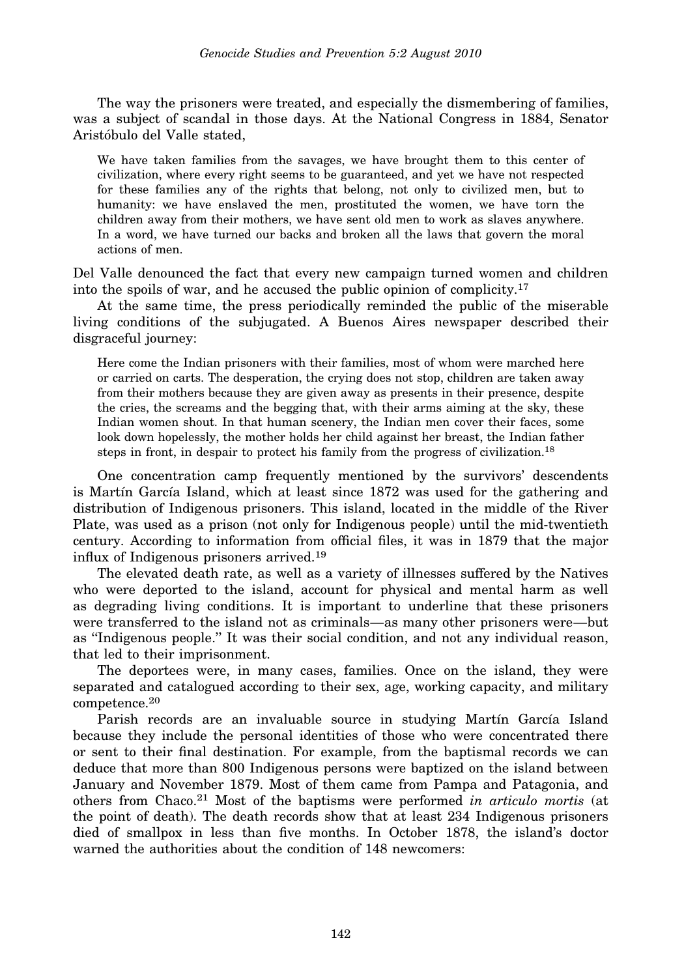The way the prisoners were treated, and especially the dismembering of families, was a subject of scandal in those days. At the National Congress in 1884, Senator Aristóbulo del Valle stated,

We have taken families from the savages, we have brought them to this center of civilization, where every right seems to be guaranteed, and yet we have not respected for these families any of the rights that belong, not only to civilized men, but to humanity: we have enslaved the men, prostituted the women, we have torn the children away from their mothers, we have sent old men to work as slaves anywhere. In a word, we have turned our backs and broken all the laws that govern the moral actions of men.

Del Valle denounced the fact that every new campaign turned women and children into the spoils of war, and he accused the public opinion of complicity.<sup>17</sup>

At the same time, the press periodically reminded the public of the miserable living conditions of the subjugated. A Buenos Aires newspaper described their disgraceful journey:

Here come the Indian prisoners with their families, most of whom were marched here or carried on carts. The desperation, the crying does not stop, children are taken away from their mothers because they are given away as presents in their presence, despite the cries, the screams and the begging that, with their arms aiming at the sky, these Indian women shout. In that human scenery, the Indian men cover their faces, some look down hopelessly, the mother holds her child against her breast, the Indian father steps in front, in despair to protect his family from the progress of civilization.<sup>18</sup>

One concentration camp frequently mentioned by the survivors' descendents is Martín García Island, which at least since 1872 was used for the gathering and distribution of Indigenous prisoners. This island, located in the middle of the River Plate, was used as a prison (not only for Indigenous people) until the mid-twentieth century. According to information from official files, it was in 1879 that the major influx of Indigenous prisoners arrived.<sup>19</sup>

The elevated death rate, as well as a variety of illnesses suffered by the Natives who were deported to the island, account for physical and mental harm as well as degrading living conditions. It is important to underline that these prisoners were transferred to the island not as criminals—as many other prisoners were—but as ''Indigenous people.'' It was their social condition, and not any individual reason, that led to their imprisonment.

The deportees were, in many cases, families. Once on the island, they were separated and catalogued according to their sex, age, working capacity, and military competence.20

Parish records are an invaluable source in studying Martín García Island because they include the personal identities of those who were concentrated there or sent to their final destination. For example, from the baptismal records we can deduce that more than 800 Indigenous persons were baptized on the island between January and November 1879. Most of them came from Pampa and Patagonia, and others from Chaco.<sup>21</sup> Most of the baptisms were performed in articulo mortis (at the point of death). The death records show that at least 234 Indigenous prisoners died of smallpox in less than five months. In October 1878, the island's doctor warned the authorities about the condition of 148 newcomers: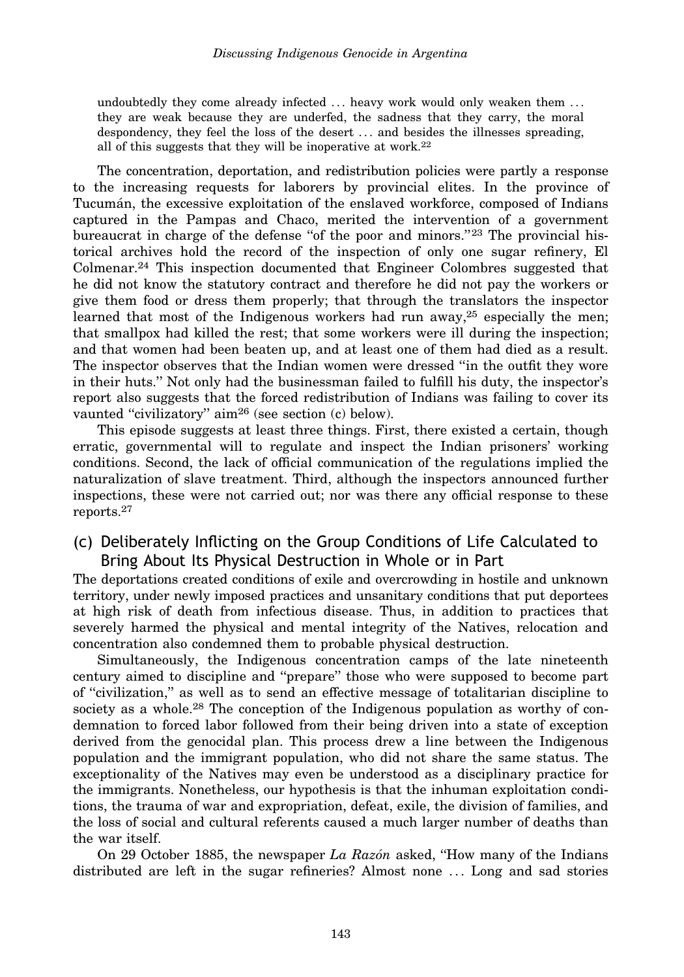undoubtedly they come already infected . . . heavy work would only weaken them . . . they are weak because they are underfed, the sadness that they carry, the moral despondency, they feel the loss of the desert . . . and besides the illnesses spreading, all of this suggests that they will be inoperative at work.<sup>22</sup>

The concentration, deportation, and redistribution policies were partly a response to the increasing requests for laborers by provincial elites. In the province of Tucuman, the excessive exploitation of the enslaved workforce, composed of Indians captured in the Pampas and Chaco, merited the intervention of a government bureaucrat in charge of the defense "of the poor and minors."<sup>23</sup> The provincial historical archives hold the record of the inspection of only one sugar refinery, El Colmenar.24 This inspection documented that Engineer Colombres suggested that he did not know the statutory contract and therefore he did not pay the workers or give them food or dress them properly; that through the translators the inspector learned that most of the Indigenous workers had run away,  $25$  especially the men; that smallpox had killed the rest; that some workers were ill during the inspection; and that women had been beaten up, and at least one of them had died as a result. The inspector observes that the Indian women were dressed ''in the outfit they wore in their huts.'' Not only had the businessman failed to fulfill his duty, the inspector's report also suggests that the forced redistribution of Indians was failing to cover its vaunted "civilizatory" aim<sup>26</sup> (see section  $(c)$  below).

This episode suggests at least three things. First, there existed a certain, though erratic, governmental will to regulate and inspect the Indian prisoners' working conditions. Second, the lack of official communication of the regulations implied the naturalization of slave treatment. Third, although the inspectors announced further inspections, these were not carried out; nor was there any official response to these reports.27

#### (c) Deliberately Inflicting on the Group Conditions of Life Calculated to Bring About Its Physical Destruction in Whole or in Part

The deportations created conditions of exile and overcrowding in hostile and unknown territory, under newly imposed practices and unsanitary conditions that put deportees at high risk of death from infectious disease. Thus, in addition to practices that severely harmed the physical and mental integrity of the Natives, relocation and concentration also condemned them to probable physical destruction.

Simultaneously, the Indigenous concentration camps of the late nineteenth century aimed to discipline and ''prepare'' those who were supposed to become part of ''civilization,'' as well as to send an effective message of totalitarian discipline to society as a whole.<sup>28</sup> The conception of the Indigenous population as worthy of condemnation to forced labor followed from their being driven into a state of exception derived from the genocidal plan. This process drew a line between the Indigenous population and the immigrant population, who did not share the same status. The exceptionality of the Natives may even be understood as a disciplinary practice for the immigrants. Nonetheless, our hypothesis is that the inhuman exploitation conditions, the trauma of war and expropriation, defeat, exile, the division of families, and the loss of social and cultural referents caused a much larger number of deaths than the war itself.

On 29 October 1885, the newspaper La Razón asked, "How many of the Indians" distributed are left in the sugar refineries? Almost none . . . Long and sad stories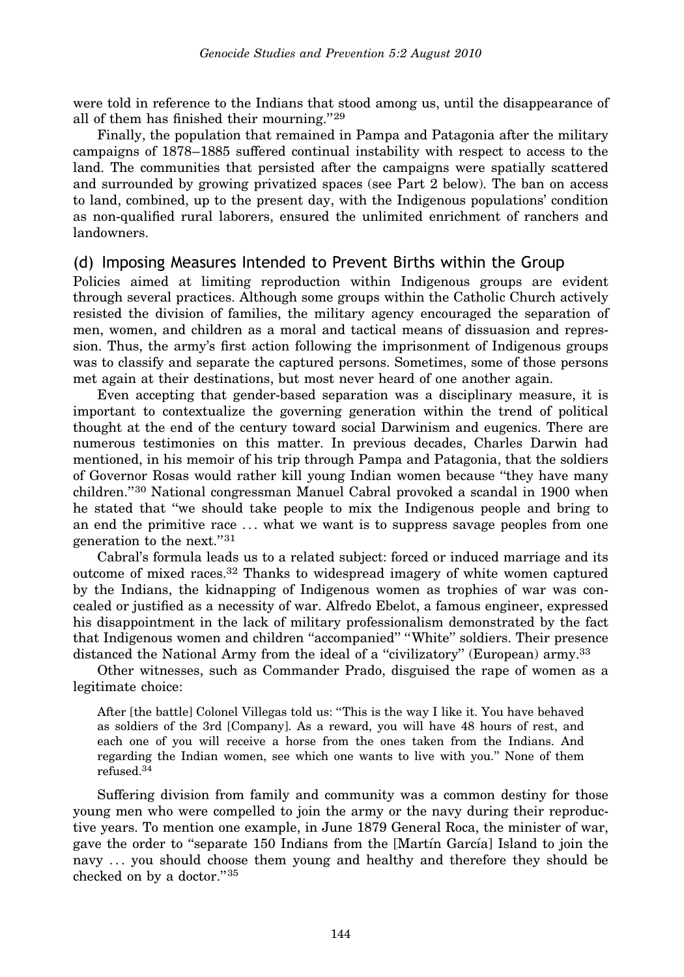were told in reference to the Indians that stood among us, until the disappearance of all of them has finished their mourning.''<sup>29</sup>

Finally, the population that remained in Pampa and Patagonia after the military campaigns of 1878–1885 suffered continual instability with respect to access to the land. The communities that persisted after the campaigns were spatially scattered and surrounded by growing privatized spaces (see Part 2 below). The ban on access to land, combined, up to the present day, with the Indigenous populations' condition as non-qualified rural laborers, ensured the unlimited enrichment of ranchers and landowners.

#### (d) Imposing Measures Intended to Prevent Births within the Group

Policies aimed at limiting reproduction within Indigenous groups are evident through several practices. Although some groups within the Catholic Church actively resisted the division of families, the military agency encouraged the separation of men, women, and children as a moral and tactical means of dissuasion and repression. Thus, the army's first action following the imprisonment of Indigenous groups was to classify and separate the captured persons. Sometimes, some of those persons met again at their destinations, but most never heard of one another again.

Even accepting that gender-based separation was a disciplinary measure, it is important to contextualize the governing generation within the trend of political thought at the end of the century toward social Darwinism and eugenics. There are numerous testimonies on this matter. In previous decades, Charles Darwin had mentioned, in his memoir of his trip through Pampa and Patagonia, that the soldiers of Governor Rosas would rather kill young Indian women because ''they have many children.''<sup>30</sup> National congressman Manuel Cabral provoked a scandal in 1900 when he stated that ''we should take people to mix the Indigenous people and bring to an end the primitive race ... what we want is to suppress savage peoples from one generation to the next.''<sup>31</sup>

Cabral's formula leads us to a related subject: forced or induced marriage and its outcome of mixed races.32 Thanks to widespread imagery of white women captured by the Indians, the kidnapping of Indigenous women as trophies of war was concealed or justified as a necessity of war. Alfredo Ebelot, a famous engineer, expressed his disappointment in the lack of military professionalism demonstrated by the fact that Indigenous women and children ''accompanied'' ''White'' soldiers. Their presence distanced the National Army from the ideal of a "civilizatory" (European) army.<sup>33</sup>

Other witnesses, such as Commander Prado, disguised the rape of women as a legitimate choice:

After [the battle] Colonel Villegas told us: ''This is the way I like it. You have behaved as soldiers of the 3rd [Company]. As a reward, you will have 48 hours of rest, and each one of you will receive a horse from the ones taken from the Indians. And regarding the Indian women, see which one wants to live with you.'' None of them refused.34

Suffering division from family and community was a common destiny for those young men who were compelled to join the army or the navy during their reproductive years. To mention one example, in June 1879 General Roca, the minister of war, gave the order to "separate 150 Indians from the [Martin Garcia] Island to join the navy . . . you should choose them young and healthy and therefore they should be checked on by a doctor.''<sup>35</sup>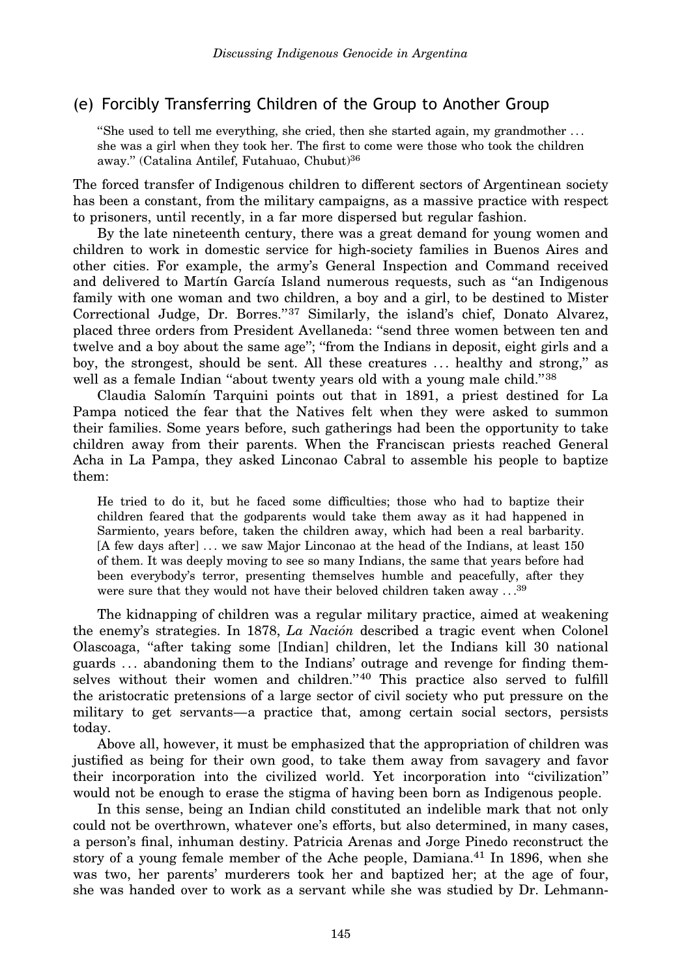### (e) Forcibly Transferring Children of the Group to Another Group

''She used to tell me everything, she cried, then she started again, my grandmother . . . she was a girl when they took her. The first to come were those who took the children away.'' (Catalina Antilef, Futahuao, Chubut)<sup>36</sup>

The forced transfer of Indigenous children to different sectors of Argentinean society has been a constant, from the military campaigns, as a massive practice with respect to prisoners, until recently, in a far more dispersed but regular fashion.

By the late nineteenth century, there was a great demand for young women and children to work in domestic service for high-society families in Buenos Aires and other cities. For example, the army's General Inspection and Command received and delivered to Martín García Island numerous requests, such as "an Indigenous family with one woman and two children, a boy and a girl, to be destined to Mister Correctional Judge, Dr. Borres."<sup>37</sup> Similarly, the island's chief, Donato Alvarez, placed three orders from President Avellaneda: ''send three women between ten and twelve and a boy about the same age''; ''from the Indians in deposit, eight girls and a boy, the strongest, should be sent. All these creatures . . . healthy and strong,'' as well as a female Indian "about twenty years old with a young male child."<sup>38</sup>

Claudia Salomín Tarquini points out that in 1891, a priest destined for La Pampa noticed the fear that the Natives felt when they were asked to summon their families. Some years before, such gatherings had been the opportunity to take children away from their parents. When the Franciscan priests reached General Acha in La Pampa, they asked Linconao Cabral to assemble his people to baptize them:

He tried to do it, but he faced some difficulties; those who had to baptize their children feared that the godparents would take them away as it had happened in Sarmiento, years before, taken the children away, which had been a real barbarity. [A few days after] ... we saw Major Linconao at the head of the Indians, at least 150 of them. It was deeply moving to see so many Indians, the same that years before had been everybody's terror, presenting themselves humble and peacefully, after they were sure that they would not have their beloved children taken away . . .39

The kidnapping of children was a regular military practice, aimed at weakening the enemy's strategies. In 1878, La Nación described a tragic event when Colonel Olascoaga, ''after taking some [Indian] children, let the Indians kill 30 national guards . . . abandoning them to the Indians' outrage and revenge for finding themselves without their women and children.''<sup>40</sup> This practice also served to fulfill the aristocratic pretensions of a large sector of civil society who put pressure on the military to get servants—a practice that, among certain social sectors, persists today.

Above all, however, it must be emphasized that the appropriation of children was justified as being for their own good, to take them away from savagery and favor their incorporation into the civilized world. Yet incorporation into ''civilization'' would not be enough to erase the stigma of having been born as Indigenous people.

In this sense, being an Indian child constituted an indelible mark that not only could not be overthrown, whatever one's efforts, but also determined, in many cases, a person's final, inhuman destiny. Patricia Arenas and Jorge Pinedo reconstruct the story of a young female member of the Ache people, Damiana.<sup>41</sup> In 1896, when she was two, her parents' murderers took her and baptized her; at the age of four, she was handed over to work as a servant while she was studied by Dr. Lehmann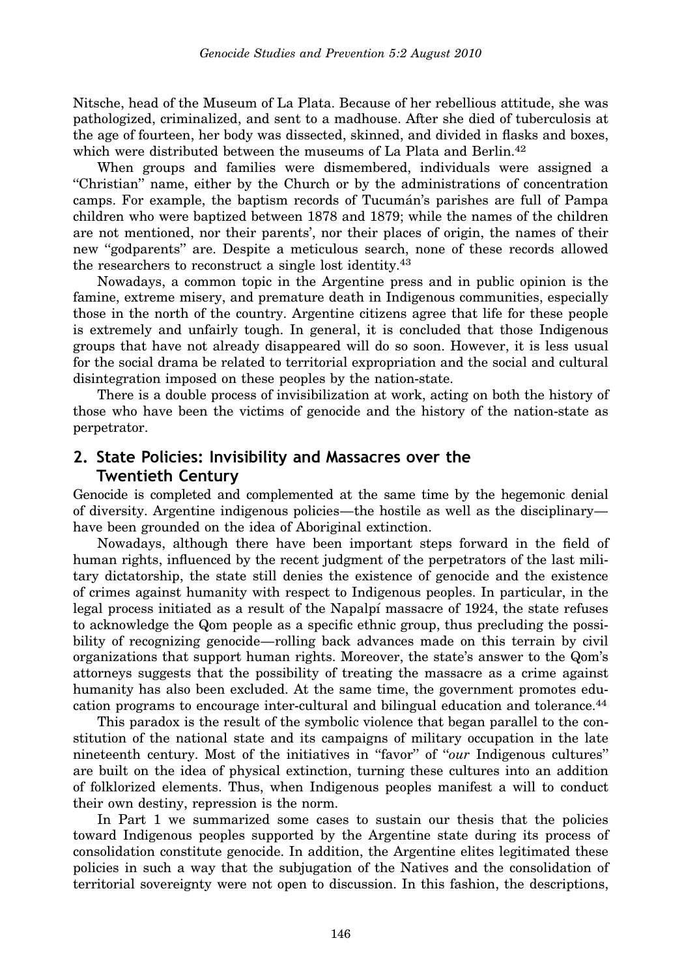Nitsche, head of the Museum of La Plata. Because of her rebellious attitude, she was pathologized, criminalized, and sent to a madhouse. After she died of tuberculosis at the age of fourteen, her body was dissected, skinned, and divided in flasks and boxes, which were distributed between the museums of La Plata and Berlin.<sup>42</sup>

When groups and families were dismembered, individuals were assigned a ''Christian'' name, either by the Church or by the administrations of concentration camps. For example, the baptism records of Tucuman's parishes are full of Pampa children who were baptized between 1878 and 1879; while the names of the children are not mentioned, nor their parents', nor their places of origin, the names of their new ''godparents'' are. Despite a meticulous search, none of these records allowed the researchers to reconstruct a single lost identity.<sup>43</sup>

Nowadays, a common topic in the Argentine press and in public opinion is the famine, extreme misery, and premature death in Indigenous communities, especially those in the north of the country. Argentine citizens agree that life for these people is extremely and unfairly tough. In general, it is concluded that those Indigenous groups that have not already disappeared will do so soon. However, it is less usual for the social drama be related to territorial expropriation and the social and cultural disintegration imposed on these peoples by the nation-state.

There is a double process of invisibilization at work, acting on both the history of those who have been the victims of genocide and the history of the nation-state as perpetrator.

#### 2. State Policies: Invisibility and Massacres over the Twentieth Century

Genocide is completed and complemented at the same time by the hegemonic denial of diversity. Argentine indigenous policies—the hostile as well as the disciplinary have been grounded on the idea of Aboriginal extinction.

Nowadays, although there have been important steps forward in the field of human rights, influenced by the recent judgment of the perpetrators of the last military dictatorship, the state still denies the existence of genocide and the existence of crimes against humanity with respect to Indigenous peoples. In particular, in the legal process initiated as a result of the Napalpı´ massacre of 1924, the state refuses to acknowledge the Qom people as a specific ethnic group, thus precluding the possibility of recognizing genocide—rolling back advances made on this terrain by civil organizations that support human rights. Moreover, the state's answer to the Qom's attorneys suggests that the possibility of treating the massacre as a crime against humanity has also been excluded. At the same time, the government promotes education programs to encourage inter-cultural and bilingual education and tolerance.<sup>44</sup>

This paradox is the result of the symbolic violence that began parallel to the constitution of the national state and its campaigns of military occupation in the late nineteenth century. Most of the initiatives in ''favor'' of ''our Indigenous cultures'' are built on the idea of physical extinction, turning these cultures into an addition of folklorized elements. Thus, when Indigenous peoples manifest a will to conduct their own destiny, repression is the norm.

In Part 1 we summarized some cases to sustain our thesis that the policies toward Indigenous peoples supported by the Argentine state during its process of consolidation constitute genocide. In addition, the Argentine elites legitimated these policies in such a way that the subjugation of the Natives and the consolidation of territorial sovereignty were not open to discussion. In this fashion, the descriptions,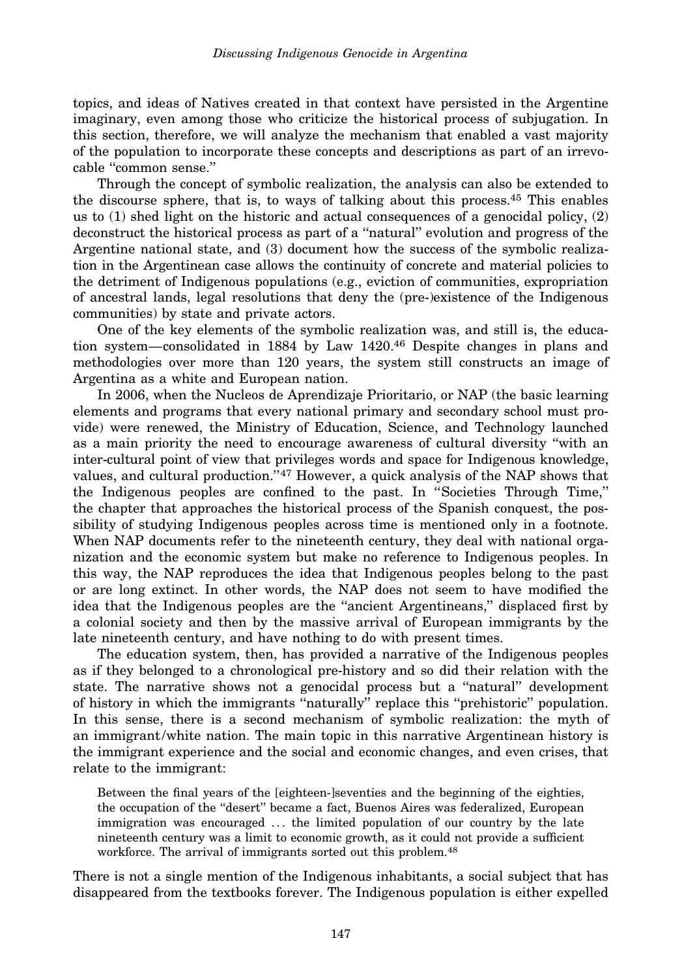topics, and ideas of Natives created in that context have persisted in the Argentine imaginary, even among those who criticize the historical process of subjugation. In this section, therefore, we will analyze the mechanism that enabled a vast majority of the population to incorporate these concepts and descriptions as part of an irrevocable ''common sense.''

Through the concept of symbolic realization, the analysis can also be extended to the discourse sphere, that is, to ways of talking about this process.45 This enables us to  $(1)$  shed light on the historic and actual consequences of a genocidal policy,  $(2)$ deconstruct the historical process as part of a ''natural'' evolution and progress of the Argentine national state, and (3) document how the success of the symbolic realization in the Argentinean case allows the continuity of concrete and material policies to the detriment of Indigenous populations (e.g., eviction of communities, expropriation of ancestral lands, legal resolutions that deny the (pre-)existence of the Indigenous communities) by state and private actors.

One of the key elements of the symbolic realization was, and still is, the education system—consolidated in 1884 by Law 1420.<sup>46</sup> Despite changes in plans and methodologies over more than 120 years, the system still constructs an image of Argentina as a white and European nation.

In 2006, when the Nucleos de Aprendizaje Prioritario, or NAP (the basic learning elements and programs that every national primary and secondary school must provide) were renewed, the Ministry of Education, Science, and Technology launched as a main priority the need to encourage awareness of cultural diversity ''with an inter-cultural point of view that privileges words and space for Indigenous knowledge, values, and cultural production."<sup>47</sup> However, a quick analysis of the NAP shows that the Indigenous peoples are confined to the past. In ''Societies Through Time,'' the chapter that approaches the historical process of the Spanish conquest, the possibility of studying Indigenous peoples across time is mentioned only in a footnote. When NAP documents refer to the nineteenth century, they deal with national organization and the economic system but make no reference to Indigenous peoples. In this way, the NAP reproduces the idea that Indigenous peoples belong to the past or are long extinct. In other words, the NAP does not seem to have modified the idea that the Indigenous peoples are the ''ancient Argentineans,'' displaced first by a colonial society and then by the massive arrival of European immigrants by the late nineteenth century, and have nothing to do with present times.

The education system, then, has provided a narrative of the Indigenous peoples as if they belonged to a chronological pre-history and so did their relation with the state. The narrative shows not a genocidal process but a ''natural'' development of history in which the immigrants ''naturally'' replace this ''prehistoric'' population. In this sense, there is a second mechanism of symbolic realization: the myth of an immigrant/white nation. The main topic in this narrative Argentinean history is the immigrant experience and the social and economic changes, and even crises, that relate to the immigrant:

Between the final years of the [eighteen-]seventies and the beginning of the eighties, the occupation of the ''desert'' became a fact, Buenos Aires was federalized, European immigration was encouraged . . . the limited population of our country by the late nineteenth century was a limit to economic growth, as it could not provide a sufficient workforce. The arrival of immigrants sorted out this problem.48

There is not a single mention of the Indigenous inhabitants, a social subject that has disappeared from the textbooks forever. The Indigenous population is either expelled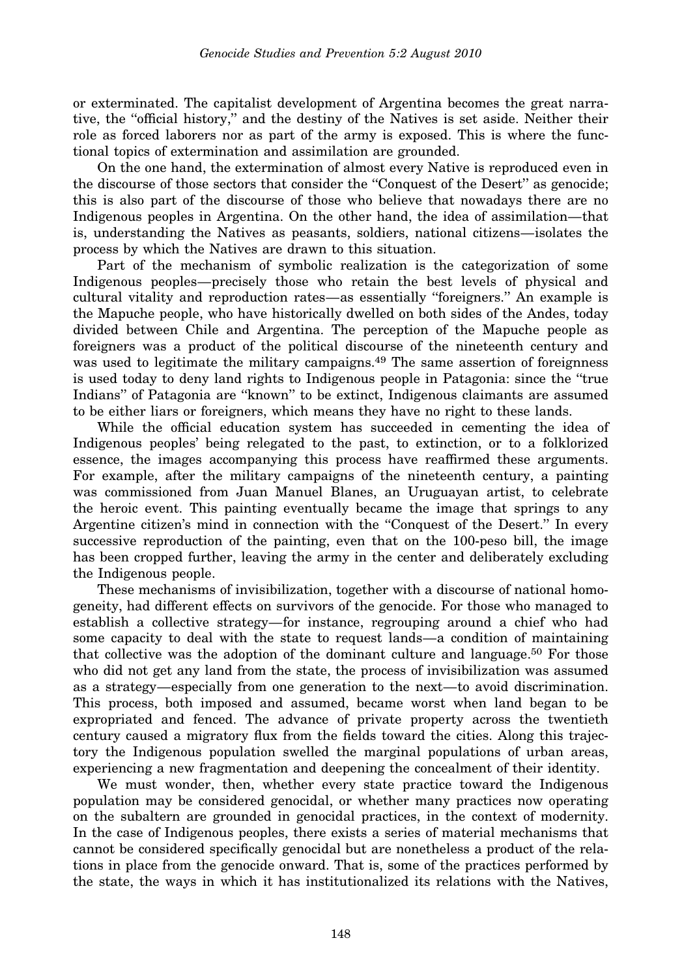or exterminated. The capitalist development of Argentina becomes the great narrative, the ''official history,'' and the destiny of the Natives is set aside. Neither their role as forced laborers nor as part of the army is exposed. This is where the functional topics of extermination and assimilation are grounded.

On the one hand, the extermination of almost every Native is reproduced even in the discourse of those sectors that consider the ''Conquest of the Desert'' as genocide; this is also part of the discourse of those who believe that nowadays there are no Indigenous peoples in Argentina. On the other hand, the idea of assimilation—that is, understanding the Natives as peasants, soldiers, national citizens—isolates the process by which the Natives are drawn to this situation.

Part of the mechanism of symbolic realization is the categorization of some Indigenous peoples—precisely those who retain the best levels of physical and cultural vitality and reproduction rates—as essentially ''foreigners.'' An example is the Mapuche people, who have historically dwelled on both sides of the Andes, today divided between Chile and Argentina. The perception of the Mapuche people as foreigners was a product of the political discourse of the nineteenth century and was used to legitimate the military campaigns.<sup>49</sup> The same assertion of foreignness is used today to deny land rights to Indigenous people in Patagonia: since the ''true Indians'' of Patagonia are ''known'' to be extinct, Indigenous claimants are assumed to be either liars or foreigners, which means they have no right to these lands.

While the official education system has succeeded in cementing the idea of Indigenous peoples' being relegated to the past, to extinction, or to a folklorized essence, the images accompanying this process have reaffirmed these arguments. For example, after the military campaigns of the nineteenth century, a painting was commissioned from Juan Manuel Blanes, an Uruguayan artist, to celebrate the heroic event. This painting eventually became the image that springs to any Argentine citizen's mind in connection with the ''Conquest of the Desert.'' In every successive reproduction of the painting, even that on the 100-peso bill, the image has been cropped further, leaving the army in the center and deliberately excluding the Indigenous people.

These mechanisms of invisibilization, together with a discourse of national homogeneity, had different effects on survivors of the genocide. For those who managed to establish a collective strategy—for instance, regrouping around a chief who had some capacity to deal with the state to request lands—a condition of maintaining that collective was the adoption of the dominant culture and language.50 For those who did not get any land from the state, the process of invisibilization was assumed as a strategy—especially from one generation to the next—to avoid discrimination. This process, both imposed and assumed, became worst when land began to be expropriated and fenced. The advance of private property across the twentieth century caused a migratory flux from the fields toward the cities. Along this trajectory the Indigenous population swelled the marginal populations of urban areas, experiencing a new fragmentation and deepening the concealment of their identity.

We must wonder, then, whether every state practice toward the Indigenous population may be considered genocidal, or whether many practices now operating on the subaltern are grounded in genocidal practices, in the context of modernity. In the case of Indigenous peoples, there exists a series of material mechanisms that cannot be considered specifically genocidal but are nonetheless a product of the relations in place from the genocide onward. That is, some of the practices performed by the state, the ways in which it has institutionalized its relations with the Natives,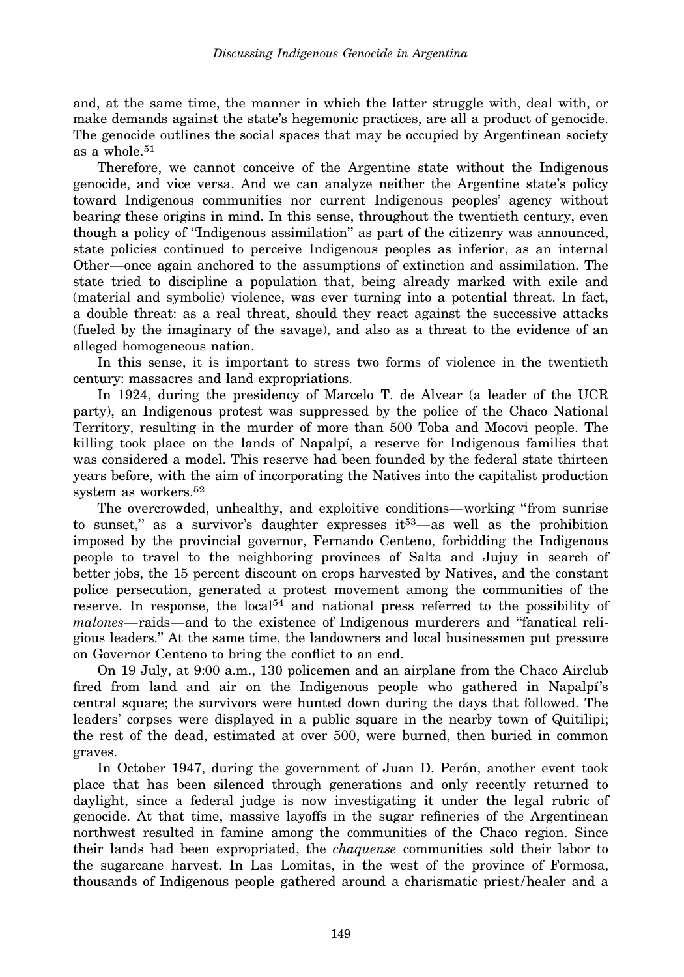and, at the same time, the manner in which the latter struggle with, deal with, or make demands against the state's hegemonic practices, are all a product of genocide. The genocide outlines the social spaces that may be occupied by Argentinean society as a whole.<sup>51</sup>

Therefore, we cannot conceive of the Argentine state without the Indigenous genocide, and vice versa. And we can analyze neither the Argentine state's policy toward Indigenous communities nor current Indigenous peoples' agency without bearing these origins in mind. In this sense, throughout the twentieth century, even though a policy of ''Indigenous assimilation'' as part of the citizenry was announced, state policies continued to perceive Indigenous peoples as inferior, as an internal Other—once again anchored to the assumptions of extinction and assimilation. The state tried to discipline a population that, being already marked with exile and (material and symbolic) violence, was ever turning into a potential threat. In fact, a double threat: as a real threat, should they react against the successive attacks (fueled by the imaginary of the savage), and also as a threat to the evidence of an alleged homogeneous nation.

In this sense, it is important to stress two forms of violence in the twentieth century: massacres and land expropriations.

In 1924, during the presidency of Marcelo T. de Alvear (a leader of the UCR party), an Indigenous protest was suppressed by the police of the Chaco National Territory, resulting in the murder of more than 500 Toba and Mocovi people. The killing took place on the lands of Napalpı´, a reserve for Indigenous families that was considered a model. This reserve had been founded by the federal state thirteen years before, with the aim of incorporating the Natives into the capitalist production system as workers.<sup>52</sup>

The overcrowded, unhealthy, and exploitive conditions—working ''from sunrise to sunset," as a survivor's daughter expresses  $it^{53}$ —as well as the prohibition imposed by the provincial governor, Fernando Centeno, forbidding the Indigenous people to travel to the neighboring provinces of Salta and Jujuy in search of better jobs, the 15 percent discount on crops harvested by Natives, and the constant police persecution, generated a protest movement among the communities of the reserve. In response, the local<sup>54</sup> and national press referred to the possibility of malones—raids—and to the existence of Indigenous murderers and ''fanatical religious leaders.'' At the same time, the landowners and local businessmen put pressure on Governor Centeno to bring the conflict to an end.

On 19 July, at 9:00 a.m., 130 policemen and an airplane from the Chaco Airclub fired from land and air on the Indigenous people who gathered in Napalpi's central square; the survivors were hunted down during the days that followed. The leaders' corpses were displayed in a public square in the nearby town of Quitilipi; the rest of the dead, estimated at over 500, were burned, then buried in common graves.

In October 1947, during the government of Juan D. Peron, another event took place that has been silenced through generations and only recently returned to daylight, since a federal judge is now investigating it under the legal rubric of genocide. At that time, massive layoffs in the sugar refineries of the Argentinean northwest resulted in famine among the communities of the Chaco region. Since their lands had been expropriated, the chaquense communities sold their labor to the sugarcane harvest. In Las Lomitas, in the west of the province of Formosa, thousands of Indigenous people gathered around a charismatic priest/ healer and a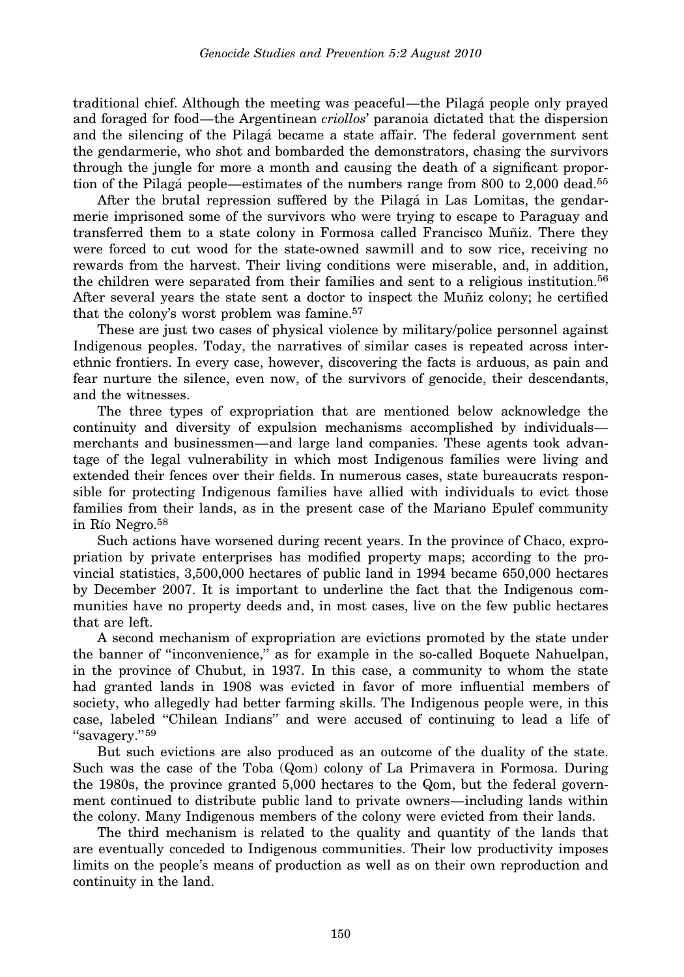traditional chief. Although the meeting was peaceful—the Pilaga´ people only prayed and foraged for food—the Argentinean criollos' paranoia dictated that the dispersion and the silencing of the Pilagá became a state affair. The federal government sent the gendarmerie, who shot and bombarded the demonstrators, chasing the survivors through the jungle for more a month and causing the death of a significant proportion of the Pilaga<sup> $55$ </sup> people—estimates of the numbers range from 800 to 2,000 dead.<sup>55</sup>

After the brutal repression suffered by the Pilagá in Las Lomitas, the gendarmerie imprisoned some of the survivors who were trying to escape to Paraguay and transferred them to a state colony in Formosa called Francisco Muñiz. There they were forced to cut wood for the state-owned sawmill and to sow rice, receiving no rewards from the harvest. Their living conditions were miserable, and, in addition, the children were separated from their families and sent to a religious institution.<sup>56</sup> After several years the state sent a doctor to inspect the Muñiz colony; he certified that the colony's worst problem was famine.<sup>57</sup>

These are just two cases of physical violence by military/police personnel against Indigenous peoples. Today, the narratives of similar cases is repeated across interethnic frontiers. In every case, however, discovering the facts is arduous, as pain and fear nurture the silence, even now, of the survivors of genocide, their descendants, and the witnesses.

The three types of expropriation that are mentioned below acknowledge the continuity and diversity of expulsion mechanisms accomplished by individuals merchants and businessmen—and large land companies. These agents took advantage of the legal vulnerability in which most Indigenous families were living and extended their fences over their fields. In numerous cases, state bureaucrats responsible for protecting Indigenous families have allied with individuals to evict those families from their lands, as in the present case of the Mariano Epulef community in Río Negro.<sup>58</sup>

Such actions have worsened during recent years. In the province of Chaco, expropriation by private enterprises has modified property maps; according to the provincial statistics, 3,500,000 hectares of public land in 1994 became 650,000 hectares by December 2007. It is important to underline the fact that the Indigenous communities have no property deeds and, in most cases, live on the few public hectares that are left.

A second mechanism of expropriation are evictions promoted by the state under the banner of ''inconvenience,'' as for example in the so-called Boquete Nahuelpan, in the province of Chubut, in 1937. In this case, a community to whom the state had granted lands in 1908 was evicted in favor of more influential members of society, who allegedly had better farming skills. The Indigenous people were, in this case, labeled ''Chilean Indians'' and were accused of continuing to lead a life of ''savagery.''<sup>59</sup>

But such evictions are also produced as an outcome of the duality of the state. Such was the case of the Toba (Qom) colony of La Primavera in Formosa. During the 1980s, the province granted 5,000 hectares to the Qom, but the federal government continued to distribute public land to private owners—including lands within the colony. Many Indigenous members of the colony were evicted from their lands.

The third mechanism is related to the quality and quantity of the lands that are eventually conceded to Indigenous communities. Their low productivity imposes limits on the people's means of production as well as on their own reproduction and continuity in the land.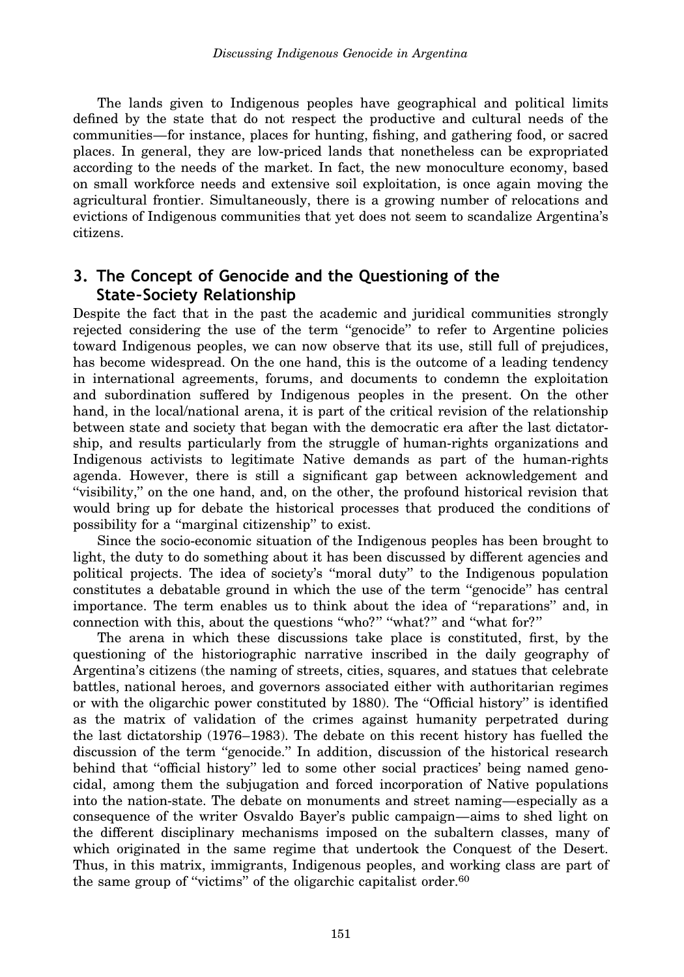The lands given to Indigenous peoples have geographical and political limits defined by the state that do not respect the productive and cultural needs of the communities—for instance, places for hunting, fishing, and gathering food, or sacred places. In general, they are low-priced lands that nonetheless can be expropriated according to the needs of the market. In fact, the new monoculture economy, based on small workforce needs and extensive soil exploitation, is once again moving the agricultural frontier. Simultaneously, there is a growing number of relocations and evictions of Indigenous communities that yet does not seem to scandalize Argentina's citizens.

## 3. The Concept of Genocide and the Questioning of the State–Society Relationship

Despite the fact that in the past the academic and juridical communities strongly rejected considering the use of the term ''genocide'' to refer to Argentine policies toward Indigenous peoples, we can now observe that its use, still full of prejudices, has become widespread. On the one hand, this is the outcome of a leading tendency in international agreements, forums, and documents to condemn the exploitation and subordination suffered by Indigenous peoples in the present. On the other hand, in the local/national arena, it is part of the critical revision of the relationship between state and society that began with the democratic era after the last dictatorship, and results particularly from the struggle of human-rights organizations and Indigenous activists to legitimate Native demands as part of the human-rights agenda. However, there is still a significant gap between acknowledgement and ''visibility,'' on the one hand, and, on the other, the profound historical revision that would bring up for debate the historical processes that produced the conditions of possibility for a ''marginal citizenship'' to exist.

Since the socio-economic situation of the Indigenous peoples has been brought to light, the duty to do something about it has been discussed by different agencies and political projects. The idea of society's ''moral duty'' to the Indigenous population constitutes a debatable ground in which the use of the term ''genocide'' has central importance. The term enables us to think about the idea of ''reparations'' and, in connection with this, about the questions "who?" "what?" and "what for?"

The arena in which these discussions take place is constituted, first, by the questioning of the historiographic narrative inscribed in the daily geography of Argentina's citizens (the naming of streets, cities, squares, and statues that celebrate battles, national heroes, and governors associated either with authoritarian regimes or with the oligarchic power constituted by 1880). The ''Official history'' is identified as the matrix of validation of the crimes against humanity perpetrated during the last dictatorship (1976–1983). The debate on this recent history has fuelled the discussion of the term ''genocide.'' In addition, discussion of the historical research behind that "official history" led to some other social practices' being named genocidal, among them the subjugation and forced incorporation of Native populations into the nation-state. The debate on monuments and street naming—especially as a consequence of the writer Osvaldo Bayer's public campaign—aims to shed light on the different disciplinary mechanisms imposed on the subaltern classes, many of which originated in the same regime that undertook the Conquest of the Desert. Thus, in this matrix, immigrants, Indigenous peoples, and working class are part of the same group of "victims" of the oligarchic capitalist order.<sup>60</sup>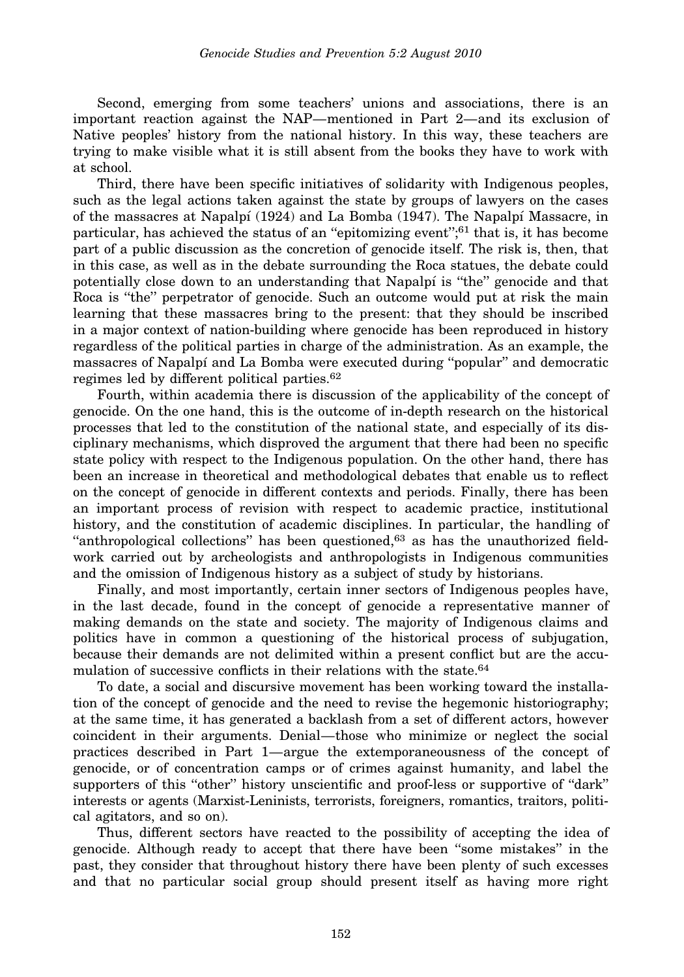Second, emerging from some teachers' unions and associations, there is an important reaction against the NAP—mentioned in Part 2—and its exclusion of Native peoples' history from the national history. In this way, these teachers are trying to make visible what it is still absent from the books they have to work with at school.

Third, there have been specific initiatives of solidarity with Indigenous peoples, such as the legal actions taken against the state by groups of lawyers on the cases of the massacres at Napalpı´ (1924) and La Bomba (1947). The Napalpı´ Massacre, in particular, has achieved the status of an ''epitomizing event'';61 that is, it has become part of a public discussion as the concretion of genocide itself. The risk is, then, that in this case, as well as in the debate surrounding the Roca statues, the debate could potentially close down to an understanding that Napalpı´ is ''the'' genocide and that Roca is ''the'' perpetrator of genocide. Such an outcome would put at risk the main learning that these massacres bring to the present: that they should be inscribed in a major context of nation-building where genocide has been reproduced in history regardless of the political parties in charge of the administration. As an example, the massacres of Napalpı´ and La Bomba were executed during ''popular'' and democratic regimes led by different political parties.<sup>62</sup>

Fourth, within academia there is discussion of the applicability of the concept of genocide. On the one hand, this is the outcome of in-depth research on the historical processes that led to the constitution of the national state, and especially of its disciplinary mechanisms, which disproved the argument that there had been no specific state policy with respect to the Indigenous population. On the other hand, there has been an increase in theoretical and methodological debates that enable us to reflect on the concept of genocide in different contexts and periods. Finally, there has been an important process of revision with respect to academic practice, institutional history, and the constitution of academic disciplines. In particular, the handling of "anthropological collections" has been questioned,<sup>63</sup> as has the unauthorized fieldwork carried out by archeologists and anthropologists in Indigenous communities and the omission of Indigenous history as a subject of study by historians.

Finally, and most importantly, certain inner sectors of Indigenous peoples have, in the last decade, found in the concept of genocide a representative manner of making demands on the state and society. The majority of Indigenous claims and politics have in common a questioning of the historical process of subjugation, because their demands are not delimited within a present conflict but are the accumulation of successive conflicts in their relations with the state.<sup>64</sup>

To date, a social and discursive movement has been working toward the installation of the concept of genocide and the need to revise the hegemonic historiography; at the same time, it has generated a backlash from a set of different actors, however coincident in their arguments. Denial—those who minimize or neglect the social practices described in Part 1—argue the extemporaneousness of the concept of genocide, or of concentration camps or of crimes against humanity, and label the supporters of this "other" history unscientific and proof-less or supportive of "dark" interests or agents (Marxist-Leninists, terrorists, foreigners, romantics, traitors, political agitators, and so on).

Thus, different sectors have reacted to the possibility of accepting the idea of genocide. Although ready to accept that there have been ''some mistakes'' in the past, they consider that throughout history there have been plenty of such excesses and that no particular social group should present itself as having more right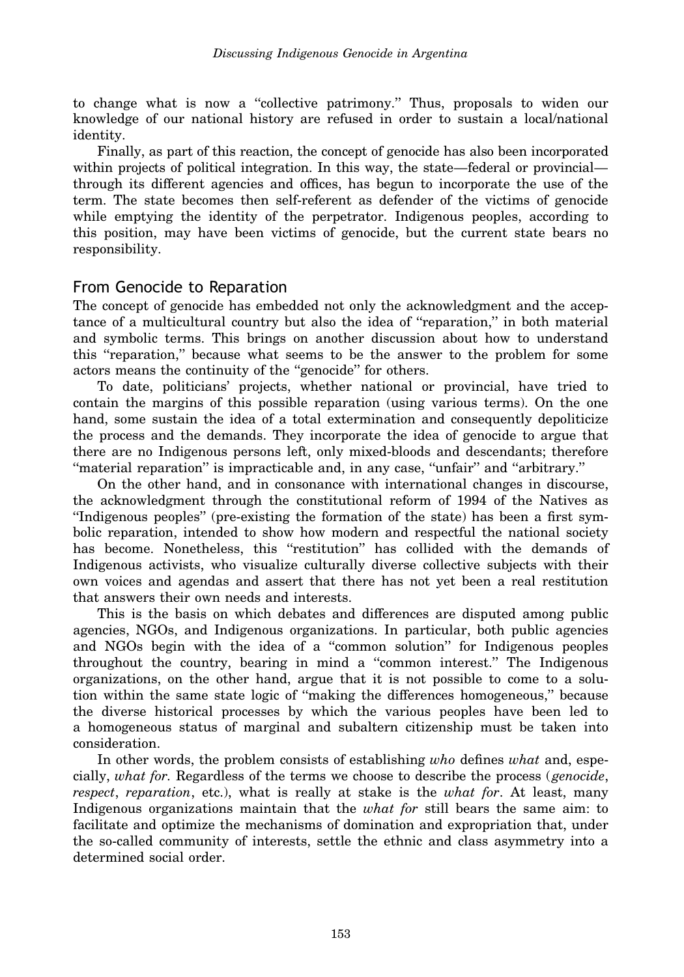to change what is now a ''collective patrimony.'' Thus, proposals to widen our knowledge of our national history are refused in order to sustain a local/national identity.

Finally, as part of this reaction, the concept of genocide has also been incorporated within projects of political integration. In this way, the state—federal or provincial through its different agencies and offices, has begun to incorporate the use of the term. The state becomes then self-referent as defender of the victims of genocide while emptying the identity of the perpetrator. Indigenous peoples, according to this position, may have been victims of genocide, but the current state bears no responsibility.

### From Genocide to Reparation

The concept of genocide has embedded not only the acknowledgment and the acceptance of a multicultural country but also the idea of ''reparation,'' in both material and symbolic terms. This brings on another discussion about how to understand this ''reparation,'' because what seems to be the answer to the problem for some actors means the continuity of the ''genocide'' for others.

To date, politicians' projects, whether national or provincial, have tried to contain the margins of this possible reparation (using various terms). On the one hand, some sustain the idea of a total extermination and consequently depoliticize the process and the demands. They incorporate the idea of genocide to argue that there are no Indigenous persons left, only mixed-bloods and descendants; therefore ''material reparation'' is impracticable and, in any case, ''unfair'' and ''arbitrary.''

On the other hand, and in consonance with international changes in discourse, the acknowledgment through the constitutional reform of 1994 of the Natives as ''Indigenous peoples'' (pre-existing the formation of the state) has been a first symbolic reparation, intended to show how modern and respectful the national society has become. Nonetheless, this ''restitution'' has collided with the demands of Indigenous activists, who visualize culturally diverse collective subjects with their own voices and agendas and assert that there has not yet been a real restitution that answers their own needs and interests.

This is the basis on which debates and differences are disputed among public agencies, NGOs, and Indigenous organizations. In particular, both public agencies and NGOs begin with the idea of a ''common solution'' for Indigenous peoples throughout the country, bearing in mind a ''common interest.'' The Indigenous organizations, on the other hand, argue that it is not possible to come to a solution within the same state logic of ''making the differences homogeneous,'' because the diverse historical processes by which the various peoples have been led to a homogeneous status of marginal and subaltern citizenship must be taken into consideration.

In other words, the problem consists of establishing who defines what and, especially, what for. Regardless of the terms we choose to describe the process (genocide, respect, reparation, etc.), what is really at stake is the *what for*. At least, many Indigenous organizations maintain that the *what for* still bears the same aim: to facilitate and optimize the mechanisms of domination and expropriation that, under the so-called community of interests, settle the ethnic and class asymmetry into a determined social order.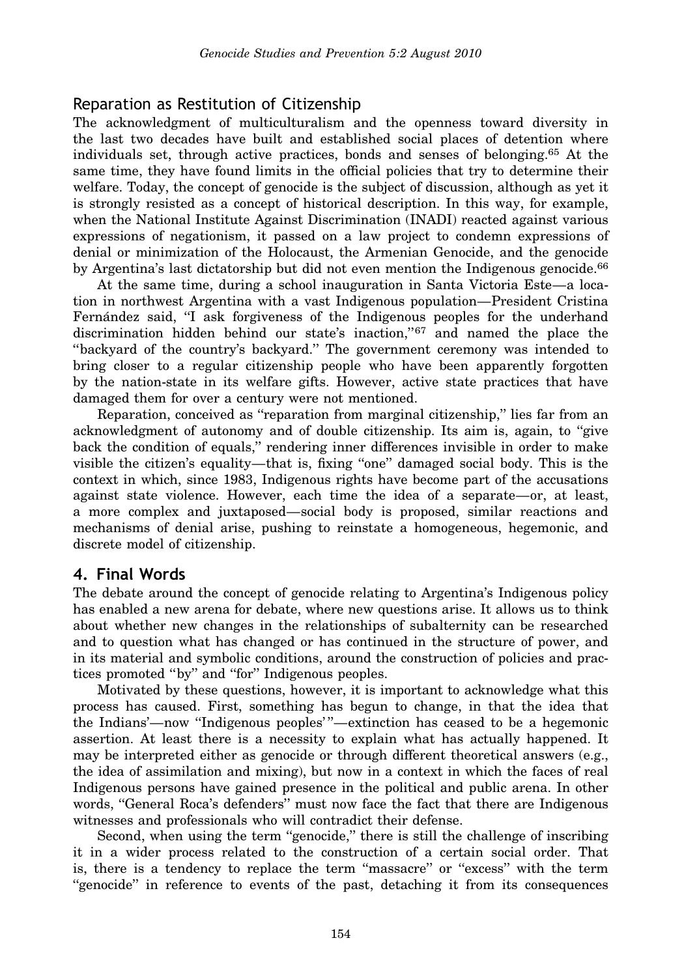#### Reparation as Restitution of Citizenship

The acknowledgment of multiculturalism and the openness toward diversity in the last two decades have built and established social places of detention where individuals set, through active practices, bonds and senses of belonging.65 At the same time, they have found limits in the official policies that try to determine their welfare. Today, the concept of genocide is the subject of discussion, although as yet it is strongly resisted as a concept of historical description. In this way, for example, when the National Institute Against Discrimination (INADI) reacted against various expressions of negationism, it passed on a law project to condemn expressions of denial or minimization of the Holocaust, the Armenian Genocide, and the genocide by Argentina's last dictatorship but did not even mention the Indigenous genocide.<sup>66</sup>

At the same time, during a school inauguration in Santa Victoria Este—a location in northwest Argentina with a vast Indigenous population—President Cristina Fernández said, "I ask forgiveness of the Indigenous peoples for the underhand discrimination hidden behind our state's inaction,"<sup>67</sup> and named the place the ''backyard of the country's backyard.'' The government ceremony was intended to bring closer to a regular citizenship people who have been apparently forgotten by the nation-state in its welfare gifts. However, active state practices that have damaged them for over a century were not mentioned.

Reparation, conceived as ''reparation from marginal citizenship,'' lies far from an acknowledgment of autonomy and of double citizenship. Its aim is, again, to ''give back the condition of equals,'' rendering inner differences invisible in order to make visible the citizen's equality—that is, fixing ''one'' damaged social body. This is the context in which, since 1983, Indigenous rights have become part of the accusations against state violence. However, each time the idea of a separate—or, at least, a more complex and juxtaposed—social body is proposed, similar reactions and mechanisms of denial arise, pushing to reinstate a homogeneous, hegemonic, and discrete model of citizenship.

#### 4. Final Words

The debate around the concept of genocide relating to Argentina's Indigenous policy has enabled a new arena for debate, where new questions arise. It allows us to think about whether new changes in the relationships of subalternity can be researched and to question what has changed or has continued in the structure of power, and in its material and symbolic conditions, around the construction of policies and practices promoted ''by'' and ''for'' Indigenous peoples.

Motivated by these questions, however, it is important to acknowledge what this process has caused. First, something has begun to change, in that the idea that the Indians'—now ''Indigenous peoples' ''—extinction has ceased to be a hegemonic assertion. At least there is a necessity to explain what has actually happened. It may be interpreted either as genocide or through different theoretical answers (e.g., the idea of assimilation and mixing), but now in a context in which the faces of real Indigenous persons have gained presence in the political and public arena. In other words, ''General Roca's defenders'' must now face the fact that there are Indigenous witnesses and professionals who will contradict their defense.

Second, when using the term "genocide," there is still the challenge of inscribing it in a wider process related to the construction of a certain social order. That is, there is a tendency to replace the term ''massacre'' or ''excess'' with the term ''genocide'' in reference to events of the past, detaching it from its consequences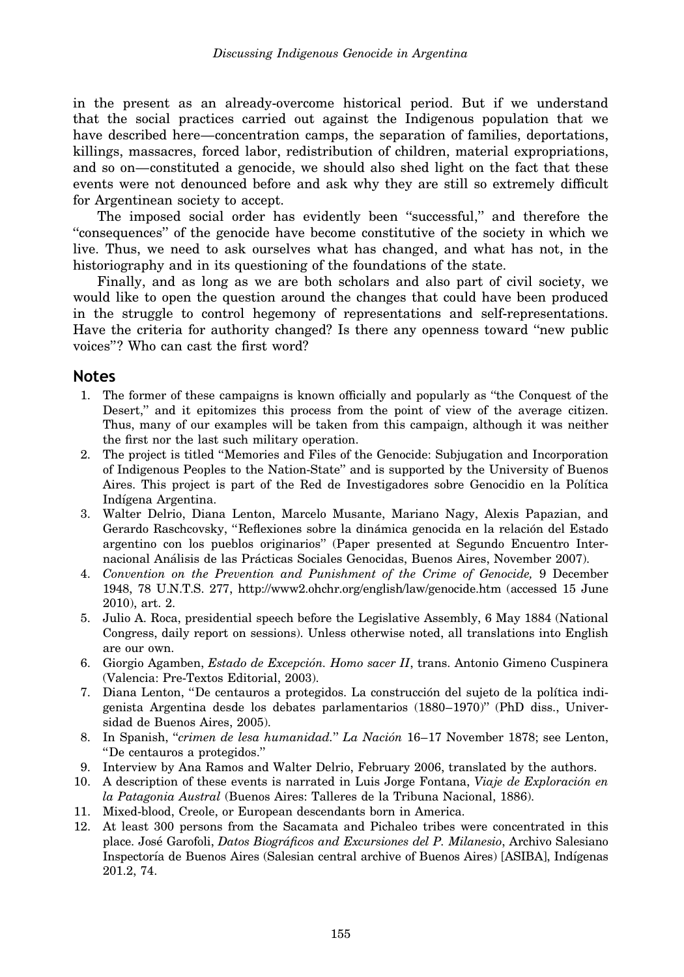in the present as an already-overcome historical period. But if we understand that the social practices carried out against the Indigenous population that we have described here—concentration camps, the separation of families, deportations, killings, massacres, forced labor, redistribution of children, material expropriations, and so on—constituted a genocide, we should also shed light on the fact that these events were not denounced before and ask why they are still so extremely difficult for Argentinean society to accept.

The imposed social order has evidently been ''successful,'' and therefore the ''consequences'' of the genocide have become constitutive of the society in which we live. Thus, we need to ask ourselves what has changed, and what has not, in the historiography and in its questioning of the foundations of the state.

Finally, and as long as we are both scholars and also part of civil society, we would like to open the question around the changes that could have been produced in the struggle to control hegemony of representations and self-representations. Have the criteria for authority changed? Is there any openness toward ''new public voices''? Who can cast the first word?

#### Notes

- 1. The former of these campaigns is known officially and popularly as ''the Conquest of the Desert," and it epitomizes this process from the point of view of the average citizen. Thus, many of our examples will be taken from this campaign, although it was neither the first nor the last such military operation.
- 2. The project is titled ''Memories and Files of the Genocide: Subjugation and Incorporation of Indigenous Peoples to the Nation-State'' and is supported by the University of Buenos Aires. This project is part of the Red de Investigadores sobre Genocidio en la Política Indı´gena Argentina.
- 3. Walter Delrio, Diana Lenton, Marcelo Musante, Mariano Nagy, Alexis Papazian, and Gerardo Raschcovsky, "Reflexiones sobre la dinámica genocida en la relación del Estado argentino con los pueblos originarios'' (Paper presented at Segundo Encuentro Internacional Análisis de las Prácticas Sociales Genocidas, Buenos Aires, November 2007).
- 4. Convention on the Prevention and Punishment of the Crime of Genocide, 9 December 1948, 78 U.N.T.S. 277,<http://www2.ohchr.org/english/law/genocide.htm> (accessed 15 June 2010), art. 2.
- 5. Julio A. Roca, presidential speech before the Legislative Assembly, 6 May 1884 (National Congress, daily report on sessions). Unless otherwise noted, all translations into English are our own.
- 6. Giorgio Agamben, *Estado de Excepción. Homo sacer II*, trans. Antonio Gimeno Cuspinera (Valencia: Pre-Textos Editorial, 2003).
- 7. Diana Lenton, "De centauros a protegidos. La construcción del sujeto de la política indigenista Argentina desde los debates parlamentarios (1880–1970)'' (PhD diss., Universidad de Buenos Aires, 2005).
- 8. In Spanish, "crimen de lesa humanidad." La Nación 16-17 November 1878; see Lenton, ''De centauros a protegidos.''
- 9. Interview by Ana Ramos and Walter Delrio, February 2006, translated by the authors.
- 10. A description of these events is narrated in Luis Jorge Fontana, Viaje de Exploración en la Patagonia Austral (Buenos Aires: Talleres de la Tribuna Nacional, 1886).
- 11. Mixed-blood, Creole, or European descendants born in America.
- 12. At least 300 persons from the Sacamata and Pichaleo tribes were concentrated in this place. José Garofoli, Datos Biográficos and Excursiones del P. Milanesio, Archivo Salesiano Inspectoría de Buenos Aires (Salesian central archive of Buenos Aires) [ASIBA], Indígenas 201.2, 74.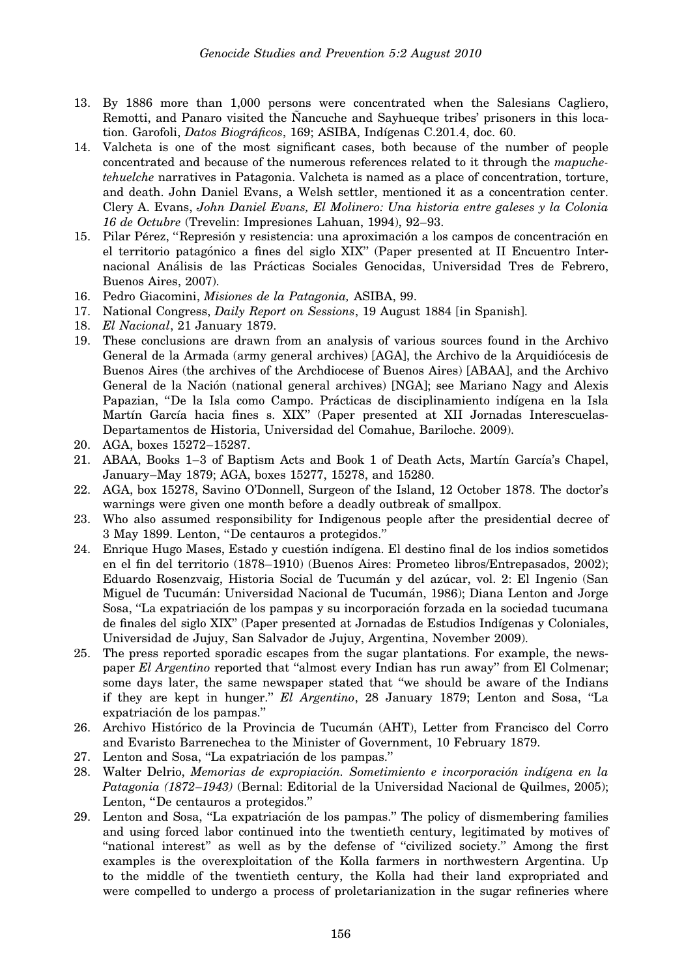- 13. By 1886 more than 1,000 persons were concentrated when the Salesians Cagliero, Remotti, and Panaro visited the Nancuche and Sayhueque tribes' prisoners in this location. Garofoli, Datos Biográficos, 169; ASIBA, Indígenas C.201.4, doc. 60.
- 14. Valcheta is one of the most significant cases, both because of the number of people concentrated and because of the numerous references related to it through the mapuchetehuelche narratives in Patagonia. Valcheta is named as a place of concentration, torture, and death. John Daniel Evans, a Welsh settler, mentioned it as a concentration center. Clery A. Evans, John Daniel Evans, El Molinero: Una historia entre galeses y la Colonia 16 de Octubre (Trevelin: Impresiones Lahuan, 1994), 92–93.
- 15. Pilar Pérez, "Represión y resistencia: una aproximación a los campos de concentración en el territorio patagónico a fines del siglo XIX" (Paper presented at II Encuentro Internacional Análisis de las Prácticas Sociales Genocidas, Universidad Tres de Febrero, Buenos Aires, 2007).
- 16. Pedro Giacomini, Misiones de la Patagonia, ASIBA, 99.
- 17. National Congress, *Daily Report on Sessions*, 19 August 1884 [in Spanish].
- 18. El Nacional, 21 January 1879.
- 19. These conclusions are drawn from an analysis of various sources found in the Archivo General de la Armada (army general archives) [AGA], the Archivo de la Arquidiócesis de Buenos Aires (the archives of the Archdiocese of Buenos Aires) [ABAA], and the Archivo General de la Nación (national general archives) [NGA]; see Mariano Nagy and Alexis Papazian, "De la Isla como Campo. Prácticas de disciplinamiento indígena en la Isla Martín García hacia fines s. XIX" (Paper presented at XII Jornadas Interescuelas-Departamentos de Historia, Universidad del Comahue, Bariloche. 2009).
- 20. AGA, boxes 15272–15287.
- 21. ABAA, Books 1-3 of Baptism Acts and Book 1 of Death Acts, Martín García's Chapel, January–May 1879; AGA, boxes 15277, 15278, and 15280.
- 22. AGA, box 15278, Savino O'Donnell, Surgeon of the Island, 12 October 1878. The doctor's warnings were given one month before a deadly outbreak of smallpox.
- 23. Who also assumed responsibility for Indigenous people after the presidential decree of 3 May 1899. Lenton, ''De centauros a protegidos.''
- 24. Enrique Hugo Mases, Estado y cuestión indígena. El destino final de los indios sometidos en el fin del territorio (1878–1910) (Buenos Aires: Prometeo libros/Entrepasados, 2002); Eduardo Rosenzvaig, Historia Social de Tucumán y del azúcar, vol. 2: El Ingenio (San Miguel de Tucumán: Universidad Nacional de Tucumán, 1986); Diana Lenton and Jorge Sosa, "La expatriación de los pampas y su incorporación forzada en la sociedad tucumana de finales del siglo XIX'' (Paper presented at Jornadas de Estudios Indı´genas y Coloniales, Universidad de Jujuy, San Salvador de Jujuy, Argentina, November 2009).
- 25. The press reported sporadic escapes from the sugar plantations. For example, the newspaper El Argentino reported that "almost every Indian has run away" from El Colmenar; some days later, the same newspaper stated that ''we should be aware of the Indians if they are kept in hunger.'' El Argentino, 28 January 1879; Lenton and Sosa, ''La expatriación de los pampas."
- 26. Archivo Histórico de la Provincia de Tucumán (AHT), Letter from Francisco del Corro and Evaristo Barrenechea to the Minister of Government, 10 February 1879.
- 27. Lenton and Sosa, "La expatriación de los pampas."
- 28. Walter Delrio, Memorias de expropiación. Sometimiento e incorporación indígena en la Patagonia (1872–1943) (Bernal: Editorial de la Universidad Nacional de Quilmes, 2005); Lenton, ''De centauros a protegidos.''
- 29. Lenton and Sosa, "La expatriación de los pampas." The policy of dismembering families and using forced labor continued into the twentieth century, legitimated by motives of "national interest" as well as by the defense of "civilized society." Among the first examples is the overexploitation of the Kolla farmers in northwestern Argentina. Up to the middle of the twentieth century, the Kolla had their land expropriated and were compelled to undergo a process of proletarianization in the sugar refineries where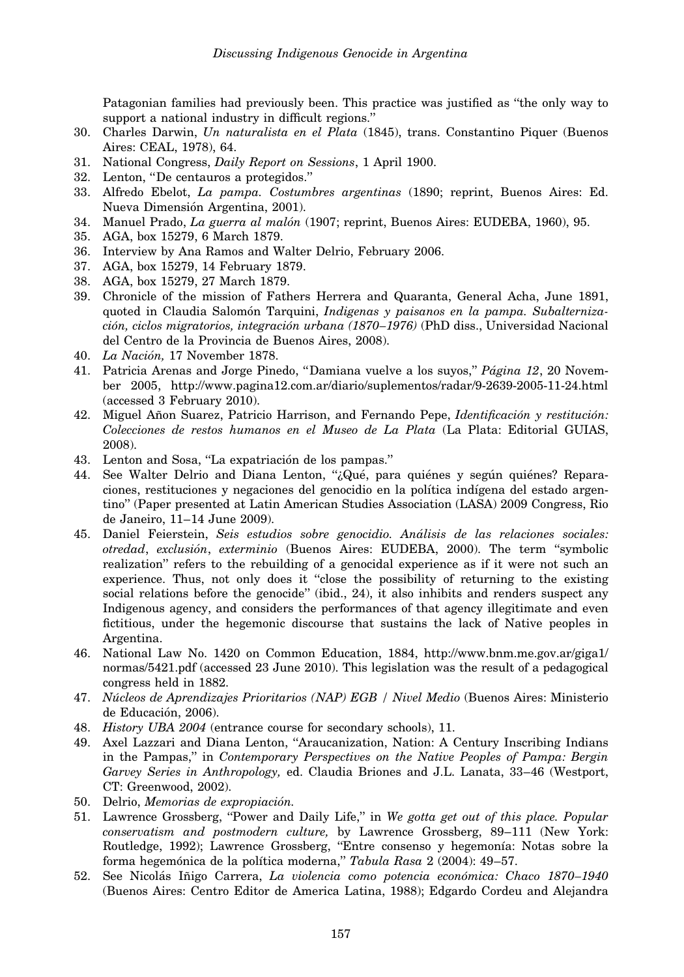Patagonian families had previously been. This practice was justified as ''the only way to support a national industry in difficult regions.''

- 30. Charles Darwin, Un naturalista en el Plata (1845), trans. Constantino Piquer (Buenos Aires: CEAL, 1978), 64.
- 31. National Congress, Daily Report on Sessions, 1 April 1900.
- 32. Lenton, ''De centauros a protegidos.''
- 33. Alfredo Ebelot, La pampa. Costumbres argentinas (1890; reprint, Buenos Aires: Ed. Nueva Dimensión Argentina, 2001).
- 34. Manuel Prado, La guerra al malón (1907; reprint, Buenos Aires: EUDEBA, 1960), 95.
- 35. AGA, box 15279, 6 March 1879.
- 36. Interview by Ana Ramos and Walter Delrio, February 2006.
- 37. AGA, box 15279, 14 February 1879.
- 38. AGA, box 15279, 27 March 1879.
- 39. Chronicle of the mission of Fathers Herrera and Quaranta, General Acha, June 1891, quoted in Claudia Salomón Tarquini, Indigenas y paisanos en la pampa. Subalternización, ciclos migratorios, integración urbana (1870–1976) (PhD diss., Universidad Nacional del Centro de la Provincia de Buenos Aires, 2008).
- 40. La Nación, 17 November 1878.
- 41. Patricia Arenas and Jorge Pinedo, "Damiana vuelve a los suyos," Página 12, 20 November 2005,<http://www.pagina12.com.ar/diario/suplementos/radar/9-2639-2005-11-24.html> (accessed 3 February 2010).
- 42. Miguel Añon Suarez, Patricio Harrison, and Fernando Pepe, Identificación y restitución: Colecciones de restos humanos en el Museo de La Plata (La Plata: Editorial GUIAS, 2008).
- 43. Lenton and Sosa, "La expatriación de los pampas."
- 44. See Walter Delrio and Diana Lenton, "¿Qué, para quiénes y según quiénes? Reparaciones, restituciones y negaciones del genocidio en la política indígena del estado argentino'' (Paper presented at Latin American Studies Association (LASA) 2009 Congress, Rio de Janeiro, 11–14 June 2009).
- 45. Daniel Feierstein, Seis estudios sobre genocidio. Análisis de las relaciones sociales: otredad, exclusio´n, exterminio (Buenos Aires: EUDEBA, 2000). The term ''symbolic realization'' refers to the rebuilding of a genocidal experience as if it were not such an experience. Thus, not only does it ''close the possibility of returning to the existing social relations before the genocide" (ibid., 24), it also inhibits and renders suspect any Indigenous agency, and considers the performances of that agency illegitimate and even fictitious, under the hegemonic discourse that sustains the lack of Native peoples in Argentina.
- 46. National Law No. 1420 on Common Education, 1884, [http://www.bnm.me.gov.ar/giga1/](http://www.bnm.me.gov.ar/giga1/normas/5421.pdf) [normas/5421.pdf](http://www.bnm.me.gov.ar/giga1/normas/5421.pdf) (accessed 23 June 2010). This legislation was the result of a pedagogical congress held in 1882.
- 47. Núcleos de Aprendizajes Prioritarios (NAP) EGB / Nivel Medio (Buenos Aires: Ministerio de Educación, 2006).
- 48. History UBA 2004 (entrance course for secondary schools), 11.
- 49. Axel Lazzari and Diana Lenton, ''Araucanization, Nation: A Century Inscribing Indians in the Pampas,'' in Contemporary Perspectives on the Native Peoples of Pampa: Bergin Garvey Series in Anthropology, ed. Claudia Briones and J.L. Lanata, 33–46 (Westport, CT: Greenwood, 2002).
- 50. Delrio, Memorias de expropiación.
- 51. Lawrence Grossberg, "Power and Daily Life," in We gotta get out of this place. Popular conservatism and postmodern culture, by Lawrence Grossberg, 89–111 (New York: Routledge, 1992); Lawrence Grossberg, "Entre consenso y hegemonía: Notas sobre la forma hegemónica de la política moderna," Tabula Rasa 2 (2004): 49-57.
- 52. See Nicolás Iñigo Carrera, La violencia como potencia económica: Chaco 1870–1940 (Buenos Aires: Centro Editor de America Latina, 1988); Edgardo Cordeu and Alejandra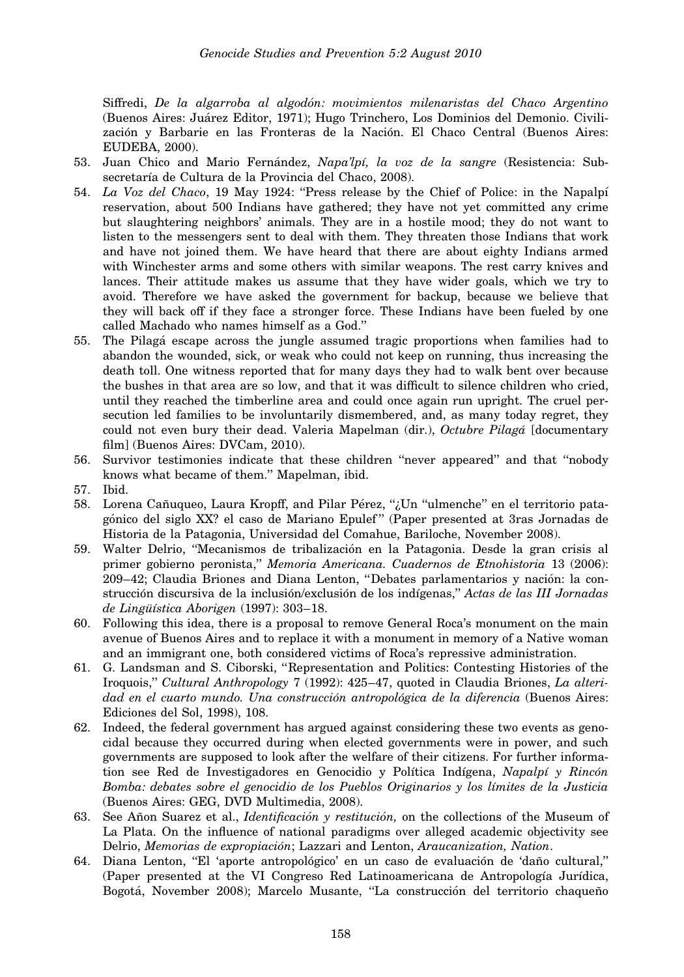Siffredi, De la algarroba al algodón: movimientos milenaristas del Chaco Argentino (Buenos Aires: Juárez Editor, 1971); Hugo Trinchero, Los Dominios del Demonio. Civilización y Barbarie en las Fronteras de la Nación. El Chaco Central (Buenos Aires: EUDEBA, 2000).

- 53. Juan Chico and Mario Fernández, Napa'lpí, la voz de la sangre (Resistencia: Subsecretaría de Cultura de la Provincia del Chaco, 2008).
- 54. La Voz del Chaco, 19 May 1924: "Press release by the Chief of Police: in the Napalpi reservation, about 500 Indians have gathered; they have not yet committed any crime but slaughtering neighbors' animals. They are in a hostile mood; they do not want to listen to the messengers sent to deal with them. They threaten those Indians that work and have not joined them. We have heard that there are about eighty Indians armed with Winchester arms and some others with similar weapons. The rest carry knives and lances. Their attitude makes us assume that they have wider goals, which we try to avoid. Therefore we have asked the government for backup, because we believe that they will back off if they face a stronger force. These Indians have been fueled by one called Machado who names himself as a God.''
- 55. The Pilaga´ escape across the jungle assumed tragic proportions when families had to abandon the wounded, sick, or weak who could not keep on running, thus increasing the death toll. One witness reported that for many days they had to walk bent over because the bushes in that area are so low, and that it was difficult to silence children who cried, until they reached the timberline area and could once again run upright. The cruel persecution led families to be involuntarily dismembered, and, as many today regret, they could not even bury their dead. Valeria Mapelman (dir.), Octubre Pilagá [documentary film] (Buenos Aires: DVCam, 2010).
- 56. Survivor testimonies indicate that these children ''never appeared'' and that ''nobody knows what became of them.'' Mapelman, ibid.
- 57. Ibid.
- 58. Lorena Cañuqueo, Laura Kropff, and Pilar Pérez, "¿Un "ulmenche" en el territorio patagónico del siglo XX? el caso de Mariano Epulef" (Paper presented at 3ras Jornadas de Historia de la Patagonia, Universidad del Comahue, Bariloche, November 2008).
- 59. Walter Delrio, "Mecanismos de tribalización en la Patagonia. Desde la gran crisis al primer gobierno peronista,'' Memoria Americana. Cuadernos de Etnohistoria 13 (2006): 209-42; Claudia Briones and Diana Lenton, "Debates parlamentarios y nación: la construcción discursiva de la inclusión/exclusión de los indígenas," Actas de las III Jornadas de Lingüística Aborigen (1997): 303–18.
- 60. Following this idea, there is a proposal to remove General Roca's monument on the main avenue of Buenos Aires and to replace it with a monument in memory of a Native woman and an immigrant one, both considered victims of Roca's repressive administration.
- 61. G. Landsman and S. Ciborski, ''Representation and Politics: Contesting Histories of the Iroquois,'' Cultural Anthropology 7 (1992): 425–47, quoted in Claudia Briones, La alteridad en el cuarto mundo. Una construcción antropológica de la diferencia (Buenos Aires: Ediciones del Sol, 1998), 108.
- 62. Indeed, the federal government has argued against considering these two events as genocidal because they occurred during when elected governments were in power, and such governments are supposed to look after the welfare of their citizens. For further information see Red de Investigadores en Genocidio y Política Indígena, Napalpí y Rincón Bomba: debates sobre el genocidio de los Pueblos Originarios y los límites de la Justicia (Buenos Aires: GEG, DVD Multimedia, 2008).
- 63. See Añon Suarez et al., *Identificación y restitución*, on the collections of the Museum of La Plata. On the influence of national paradigms over alleged academic objectivity see Delrio, Memorias de expropiación; Lazzari and Lenton, Araucanization, Nation.
- 64. Diana Lenton, "El 'aporte antropológico' en un caso de evaluación de 'daño cultural," (Paper presented at the VI Congreso Red Latinoamericana de Antropología Jurídica, Bogotá, November 2008); Marcelo Musante, "La construcción del territorio chaqueño